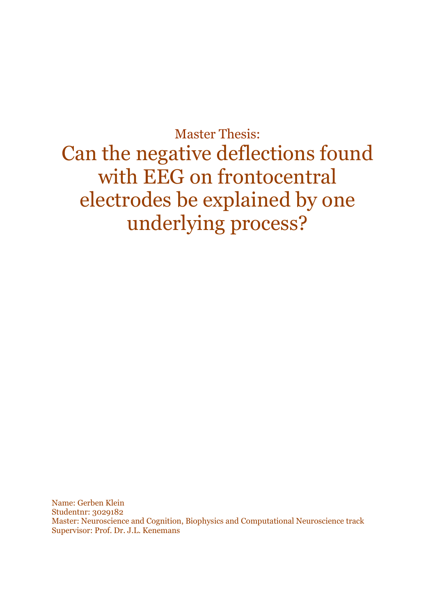Master Thesis: Can the negative deflections found with EEG on frontocentral electrodes be explained by one underlying process?

Name: Gerben Klein Studentnr: 3029182 Master: Neuroscience and Cognition, Biophysics and Computational Neuroscience track Supervisor: Prof. Dr. J.L. Kenemans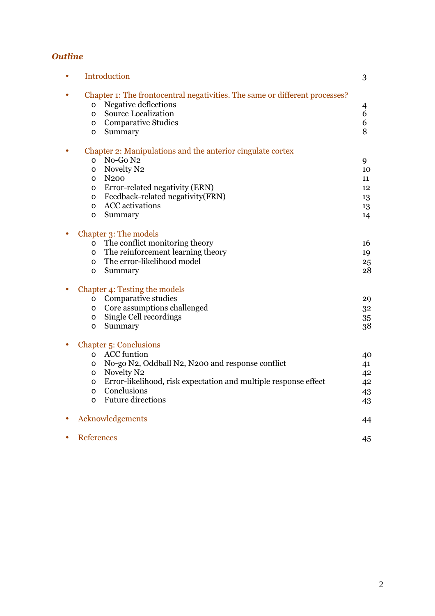### *Outline*

| Introduction<br>3                                                                                                                                                                                          |  |                  |
|------------------------------------------------------------------------------------------------------------------------------------------------------------------------------------------------------------|--|------------------|
| Chapter 1: The frontocentral negativities. The same or different processes?<br>Negative deflections<br>$\circ$<br><b>Source Localization</b><br>$\circ$<br><b>Comparative Studies</b><br>O<br>Summary<br>O |  | 4<br>6<br>6<br>8 |
| Chapter 2: Manipulations and the anterior cingulate cortex                                                                                                                                                 |  |                  |
| No-Go N2<br>$\circ$                                                                                                                                                                                        |  | 9                |
| Novelty N2<br>$\circ$                                                                                                                                                                                      |  | 10               |
| N <sub>200</sub><br>$\circ$                                                                                                                                                                                |  | 11               |
| Error-related negativity (ERN)<br>O                                                                                                                                                                        |  | 12               |
| Feedback-related negativity(FRN)<br>O                                                                                                                                                                      |  | 13               |
| <b>ACC</b> activations<br>$\circ$                                                                                                                                                                          |  | 13               |
| Summary<br>$\circ$                                                                                                                                                                                         |  | 14               |
| Chapter 3: The models                                                                                                                                                                                      |  |                  |
| The conflict monitoring theory<br>$\circ$                                                                                                                                                                  |  | 16               |
| The reinforcement learning theory<br>$\circ$                                                                                                                                                               |  | 19               |
| The error-likelihood model<br>O                                                                                                                                                                            |  | 25               |
| Summary<br>O                                                                                                                                                                                               |  | 28               |
| Chapter 4: Testing the models                                                                                                                                                                              |  |                  |
| Comparative studies<br>$\circ$                                                                                                                                                                             |  | 29               |
| Core assumptions challenged<br>$\circ$                                                                                                                                                                     |  | 32               |
| Single Cell recordings<br>O                                                                                                                                                                                |  | 35               |
| Summary<br>$\circ$                                                                                                                                                                                         |  | 38               |
| <b>Chapter 5: Conclusions</b>                                                                                                                                                                              |  |                  |
| <b>ACC</b> funtion<br>$\circ$                                                                                                                                                                              |  | 40               |
| No-go N2, Oddball N2, N200 and response conflict<br>O                                                                                                                                                      |  | 41               |
| Novelty N2<br>$\circ$                                                                                                                                                                                      |  | 42               |
| Error-likelihood, risk expectation and multiple response effect<br>$\circ$                                                                                                                                 |  | 42               |
| Conclusions<br>$\circ$                                                                                                                                                                                     |  | 43               |
| <b>Future directions</b><br>$\circ$                                                                                                                                                                        |  | 43               |
| Acknowledgements                                                                                                                                                                                           |  | 44               |
| <b>References</b>                                                                                                                                                                                          |  | 45               |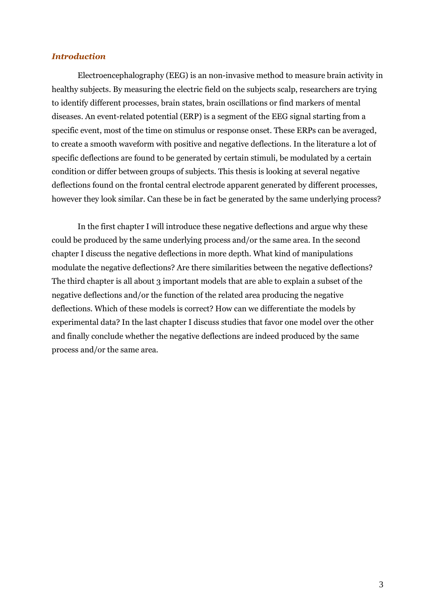#### *Introduction*

 Electroencephalography (EEG) is an non-invasive method to measure brain activity in healthy subjects. By measuring the electric field on the subjects scalp, researchers are trying to identify different processes, brain states, brain oscillations or find markers of mental diseases. An event-related potential (ERP) is a segment of the EEG signal starting from a specific event, most of the time on stimulus or response onset. These ERPs can be averaged, to create a smooth waveform with positive and negative deflections. In the literature a lot of specific deflections are found to be generated by certain stimuli, be modulated by a certain condition or differ between groups of subjects. This thesis is looking at several negative deflections found on the frontal central electrode apparent generated by different processes, however they look similar. Can these be in fact be generated by the same underlying process?

 In the first chapter I will introduce these negative deflections and argue why these could be produced by the same underlying process and/or the same area. In the second chapter I discuss the negative deflections in more depth. What kind of manipulations modulate the negative deflections? Are there similarities between the negative deflections? The third chapter is all about 3 important models that are able to explain a subset of the negative deflections and/or the function of the related area producing the negative deflections. Which of these models is correct? How can we differentiate the models by experimental data? In the last chapter I discuss studies that favor one model over the other and finally conclude whether the negative deflections are indeed produced by the same process and/or the same area.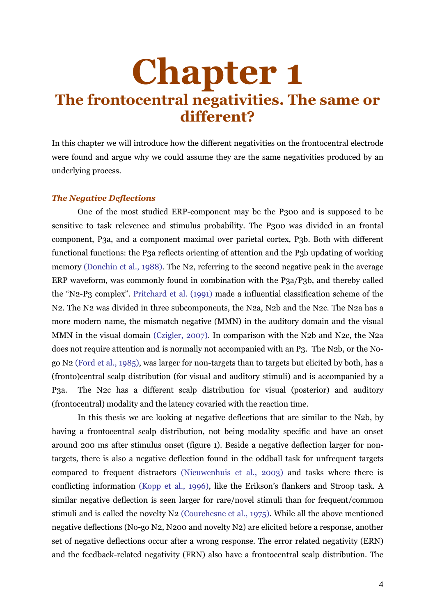## **Chapter 1 The frontocentral negativities. The same or different?**

In this chapter we will introduce how the different negativities on the frontocentral electrode were found and argue why we could assume they are the same negativities produced by an underlying process.

#### *The Negative Deflections*

 One of the most studied ERP-component may be the P300 and is supposed to be sensitive to task relevence and stimulus probability. The P300 was divided in an frontal component, P3a, and a component maximal over parietal cortex, P3b. Both with different functional functions: the P3a reflects orienting of attention and the P3b updating of working memory (Donchin et al., 1988). The N2, referring to the second negative peak in the average ERP waveform, was commonly found in combination with the P3a/P3b, and thereby called the "N2-P3 complex". Pritchard et al. (1991) made a influential classification scheme of the N2. The N2 was divided in three subcomponents, the N2a, N2b and the N2c. The N2a has a more modern name, the mismatch negative (MMN) in the auditory domain and the visual MMN in the visual domain (Czigler, 2007). In comparison with the N2b and N2c, the N2a does not require attention and is normally not accompanied with an P3. The N2b, or the Nogo N2 (Ford et al., 1985), was larger for non-targets than to targets but elicited by both, has a (fronto)central scalp distribution (for visual and auditory stimuli) and is accompanied by a P3a. The N2c has a different scalp distribution for visual (posterior) and auditory (frontocentral) modality and the latency covaried with the reaction time.

 In this thesis we are looking at negative deflections that are similar to the N2b, by having a frontocentral scalp distribution, not being modality specific and have an onset around 200 ms after stimulus onset (figure 1). Beside a negative deflection larger for nontargets, there is also a negative deflection found in the oddball task for unfrequent targets compared to frequent distractors (Nieuwenhuis et al., 2003) and tasks where there is conflicting information (Kopp et al., 1996), like the Erikson's flankers and Stroop task. A similar negative deflection is seen larger for rare/novel stimuli than for frequent/common stimuli and is called the novelty N2 (Courchesne et al., 1975). While all the above mentioned negative deflections (No-go N2, N200 and novelty N2) are elicited before a response, another set of negative deflections occur after a wrong response. The error related negativity (ERN) and the feedback-related negativity (FRN) also have a frontocentral scalp distribution. The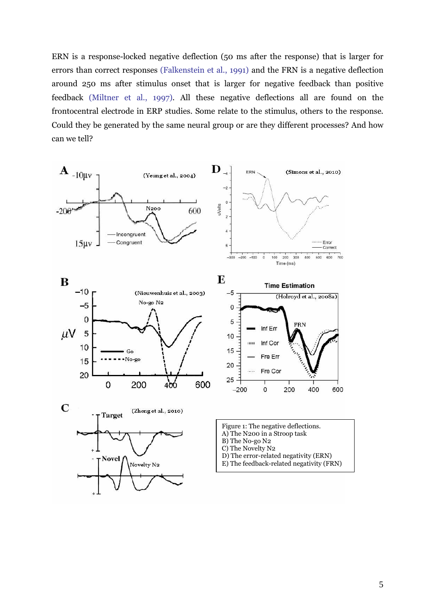ERN is a response-locked negative deflection (50 ms after the response) that is larger for errors than correct responses (Falkenstein et al., 1991) and the FRN is a negative deflection around 250 ms after stimulus onset that is larger for negative feedback than positive feedback (Miltner et al., 1997). All these negative deflections all are found on the frontocentral electrode in ERP studies. Some relate to the stimulus, others to the response. Could they be generated by the same neural group or are they different processes? And how can we tell?

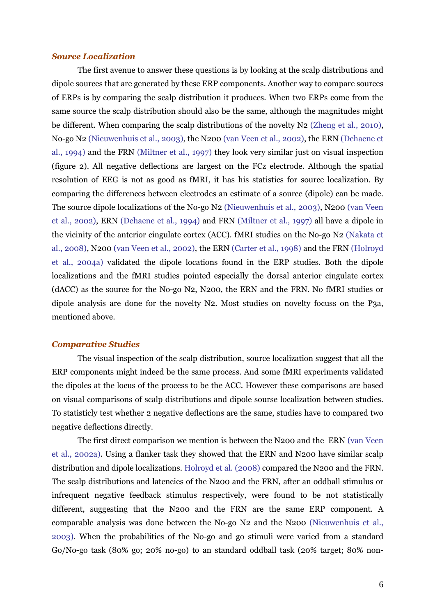#### *Source Localization*

 The first avenue to answer these questions is by looking at the scalp distributions and dipole sources that are generated by these ERP components. Another way to compare sources of ERPs is by comparing the scalp distribution it produces. When two ERPs come from the same source the scalp distribution should also be the same, although the magnitudes might be different. When comparing the scalp distributions of the novelty N2 (Zheng et al., 2010), No-go N2 (Nieuwenhuis et al., 2003), the N200 (van Veen et al., 2002), the ERN (Dehaene et al., 1994) and the FRN (Miltner et al., 1997) they look very similar just on visual inspection (figure 2). All negative deflections are largest on the FCz electrode. Although the spatial resolution of EEG is not as good as fMRI, it has his statistics for source localization. By comparing the differences between electrodes an estimate of a source (dipole) can be made. The source dipole localizations of the No-go N2 (Nieuwenhuis et al., 2003), N200 (van Veen et al., 2002), ERN (Dehaene et al., 1994) and FRN (Miltner et al., 1997) all have a dipole in the vicinity of the anterior cingulate cortex (ACC). fMRI studies on the No-go N2 (Nakata et al., 2008), N200 (van Veen et al., 2002), the ERN (Carter et al., 1998) and the FRN (Holroyd et al., 2004a) validated the dipole locations found in the ERP studies. Both the dipole localizations and the fMRI studies pointed especially the dorsal anterior cingulate cortex (dACC) as the source for the No-go N2, N200, the ERN and the FRN. No fMRI studies or dipole analysis are done for the novelty N2. Most studies on novelty focuss on the P3a, mentioned above.

#### *Comparative Studies*

 The visual inspection of the scalp distribution, source localization suggest that all the ERP components might indeed be the same process. And some fMRI experiments validated the dipoles at the locus of the process to be the ACC. However these comparisons are based on visual comparisons of scalp distributions and dipole sourse localization between studies. To statisticly test whether 2 negative deflections are the same, studies have to compared two negative deflections directly.

 The first direct comparison we mention is between the N200 and the ERN (van Veen et al., 2002a). Using a flanker task they showed that the ERN and N200 have similar scalp distribution and dipole localizations. Holroyd et al. (2008) compared the N200 and the FRN. The scalp distributions and latencies of the N200 and the FRN, after an oddball stimulus or infrequent negative feedback stimulus respectively, were found to be not statistically different, suggesting that the N200 and the FRN are the same ERP component. A comparable analysis was done between the No-go N2 and the N200 (Nieuwenhuis et al., 2003). When the probabilities of the No-go and go stimuli were varied from a standard Go/No-go task (80% go; 20% no-go) to an standard oddball task (20% target; 80% non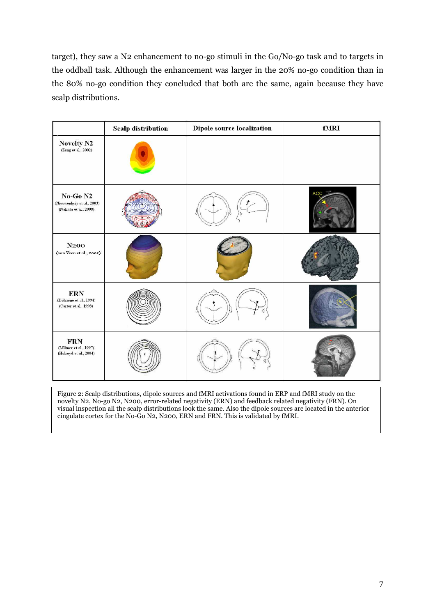target), they saw a N2 enhancement to no-go stimuli in the Go/No-go task and to targets in the oddball task. Although the enhancement was larger in the 20% no-go condition than in the 80% no-go condition they concluded that both are the same, again because they have scalp distributions.

|                                                                            | <b>Scalp distribution</b> | Dipole source localization | fMRI       |
|----------------------------------------------------------------------------|---------------------------|----------------------------|------------|
| Novelty N2<br>(Zeng et al., 2002)                                          |                           |                            |            |
| No-Go <sub>N2</sub><br>(Nieuwenhuis et al., 2003)<br>(Nakata et al., 2008) |                           |                            | <b>ACC</b> |
| N200<br>(van Veen et al., 2002)                                            |                           |                            |            |
| <b>ERN</b><br>(Dehaene et al., 1994)<br>(Carter et al., 1998)              |                           |                            |            |
| <b>FRN</b><br>(Miltner et al., 1997)<br>(Holroyd et al., 2004)             |                           |                            |            |

Figure 2: Scalp distributions, dipole sources and fMRI activations found in ERP and fMRI study on the novelty N2, No-go N2, N200, error-related negativity (ERN) and feedback related negativity (FRN). On visual inspection all the scalp distributions look the same. Also the dipole sources are located in the anterior cingulate cortex for the No-Go N2, N200, ERN and FRN. This is validated by fMRI.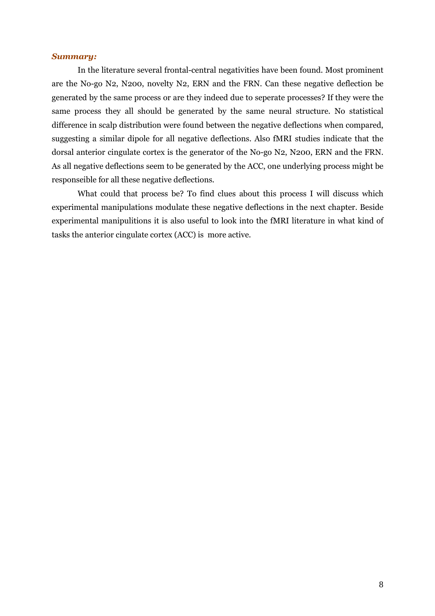#### *Summary:*

 In the literature several frontal-central negativities have been found. Most prominent are the No-go N2, N200, novelty N2, ERN and the FRN. Can these negative deflection be generated by the same process or are they indeed due to seperate processes? If they were the same process they all should be generated by the same neural structure. No statistical difference in scalp distribution were found between the negative deflections when compared, suggesting a similar dipole for all negative deflections. Also fMRI studies indicate that the dorsal anterior cingulate cortex is the generator of the No-go N2, N200, ERN and the FRN. As all negative deflections seem to be generated by the ACC, one underlying process might be responseible for all these negative deflections.

What could that process be? To find clues about this process I will discuss which experimental manipulations modulate these negative deflections in the next chapter. Beside experimental manipulitions it is also useful to look into the fMRI literature in what kind of tasks the anterior cingulate cortex (ACC) is more active.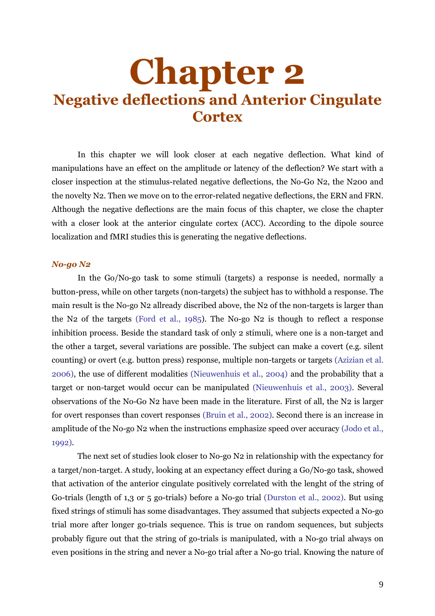## **Chapter 2 Negative deflections and Anterior Cingulate Cortex**

 In this chapter we will look closer at each negative deflection. What kind of manipulations have an effect on the amplitude or latency of the deflection? We start with a closer inspection at the stimulus-related negative deflections, the No-Go N2, the N200 and the novelty N2. Then we move on to the error-related negative deflections, the ERN and FRN. Although the negative deflections are the main focus of this chapter, we close the chapter with a closer look at the anterior cingulate cortex (ACC). According to the dipole source localization and fMRI studies this is generating the negative deflections.

#### *No-go N2*

 In the Go/No-go task to some stimuli (targets) a response is needed, normally a button-press, while on other targets (non-targets) the subject has to withhold a response. The main result is the No-go N2 allready discribed above, the N2 of the non-targets is larger than the N2 of the targets (Ford et al., 1985). The No-go N2 is though to reflect a response inhibition process. Beside the standard task of only 2 stimuli, where one is a non-target and the other a target, several variations are possible. The subject can make a covert (e.g. silent counting) or overt (e.g. button press) response, multiple non-targets or targets (Azizian et al. 2006), the use of different modalities (Nieuwenhuis et al., 2004) and the probability that a target or non-target would occur can be manipulated (Nieuwenhuis et al., 2003). Several observations of the No-Go N2 have been made in the literature. First of all, the N2 is larger for overt responses than covert responses (Bruin et al., 2002). Second there is an increase in amplitude of the No-go N2 when the instructions emphasize speed over accuracy (Jodo et al., 1992).

 The next set of studies look closer to No-go N2 in relationship with the expectancy for a target/non-target. A study, looking at an expectancy effect during a Go/No-go task, showed that activation of the anterior cingulate positively correlated with the lenght of the string of Go-trials (length of 1,3 or 5 go-trials) before a No-go trial (Durston et al., 2002). But using fixed strings of stimuli has some disadvantages. They assumed that subjects expected a No-go trial more after longer go-trials sequence. This is true on random sequences, but subjects probably figure out that the string of go-trials is manipulated, with a No-go trial always on even positions in the string and never a No-go trial after a No-go trial. Knowing the nature of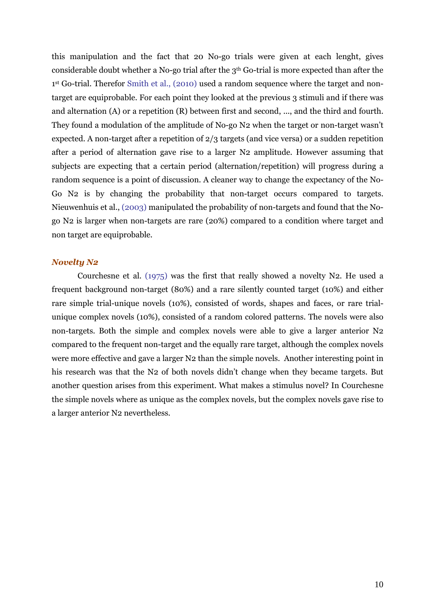this manipulation and the fact that 20 No-go trials were given at each lenght, gives considerable doubt whether a No-go trial after the 3th Go-trial is more expected than after the 1 st Go-trial. Therefor Smith et al., (2010) used a random sequence where the target and nontarget are equiprobable. For each point they looked at the previous 3 stimuli and if there was and alternation (A) or a repetition (R) between first and second, ..., and the third and fourth. They found a modulation of the amplitude of No-go N2 when the target or non-target wasn't expected. A non-target after a repetition of 2/3 targets (and vice versa) or a sudden repetition after a period of alternation gave rise to a larger N2 amplitude. However assuming that subjects are expecting that a certain period (alternation/repetition) will progress during a random sequence is a point of discussion. A cleaner way to change the expectancy of the No-Go N2 is by changing the probability that non-target occurs compared to targets. Nieuwenhuis et al., (2003) manipulated the probability of non-targets and found that the Nogo N2 is larger when non-targets are rare (20%) compared to a condition where target and non target are equiprobable.

#### *Novelty N2*

 Courchesne et al. (1975) was the first that really showed a novelty N2. He used a frequent background non-target (80%) and a rare silently counted target (10%) and either rare simple trial-unique novels (10%), consisted of words, shapes and faces, or rare trialunique complex novels (10%), consisted of a random colored patterns. The novels were also non-targets. Both the simple and complex novels were able to give a larger anterior N2 compared to the frequent non-target and the equally rare target, although the complex novels were more effective and gave a larger N2 than the simple novels. Another interesting point in his research was that the N2 of both novels didn't change when they became targets. But another question arises from this experiment. What makes a stimulus novel? In Courchesne the simple novels where as unique as the complex novels, but the complex novels gave rise to a larger anterior N2 nevertheless.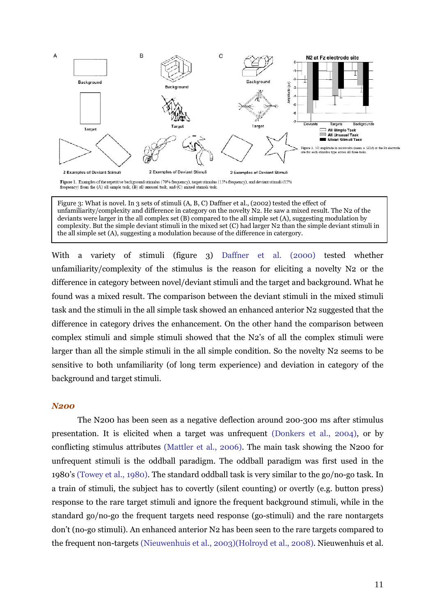

Figure 3: What is novel. In 3 sets of stimuli (A, B, C) Daffner et al., (2002) tested the effect of unfamiliarity/complexity and difference in category on the novelty N2. He saw a mixed result. The N2 of the deviants were larger in the all complex set (B) compared to the all simple set (A), suggesting modulation by complexity. But the simple deviant stimuli in the mixed set (C) had larger N2 than the simple deviant stimuli in the all simple set (A), suggesting a modulation because of the difference in catergory.

With a variety of stimuli (figure 3) Daffner et al. (2000) tested whether unfamiliarity/complexity of the stimulus is the reason for eliciting a novelty N2 or the difference in category between novel/deviant stimuli and the target and background. What he found was a mixed result. The comparison between the deviant stimuli in the mixed stimuli task and the stimuli in the all simple task showed an enhanced anterior N2 suggested that the difference in category drives the enhancement. On the other hand the comparison between complex stimuli and simple stimuli showed that the N2's of all the complex stimuli were larger than all the simple stimuli in the all simple condition. So the novelty N2 seems to be sensitive to both unfamiliarity (of long term experience) and deviation in category of the background and target stimuli.

#### *N200*

 The N200 has been seen as a negative deflection around 200-300 ms after stimulus presentation. It is elicited when a target was unfrequent (Donkers et al., 2004), or by conflicting stimulus attributes (Mattler et al., 2006). The main task showing the N200 for unfrequent stimuli is the oddball paradigm. The oddball paradigm was first used in the 1980's (Towey et al., 1980). The standard oddball task is very similar to the go/no-go task. In a train of stimuli, the subject has to covertly (silent counting) or overtly (e.g. button press) response to the rare target stimuli and ignore the frequent background stimuli, while in the standard go/no-go the frequent targets need response (go-stimuli) and the rare nontargets don't (no-go stimuli). An enhanced anterior N2 has been seen to the rare targets compared to the frequent non-targets (Nieuwenhuis et al., 2003)(Holroyd et al., 2008). Nieuwenhuis et al.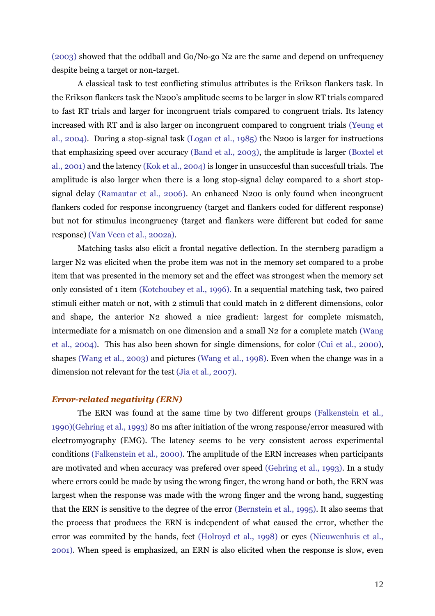(2003) showed that the oddball and Go/No-go N2 are the same and depend on unfrequency despite being a target or non-target.

 A classical task to test conflicting stimulus attributes is the Erikson flankers task. In the Erikson flankers task the N200's amplitude seems to be larger in slow RT trials compared to fast RT trials and larger for incongruent trials compared to congruent trials. Its latency increased with RT and is also larger on incongruent compared to congruent trials (Yeung et al., 2004). During a stop-signal task (Logan et al., 1985) the N200 is larger for instructions that emphasizing speed over accuracy (Band et al., 2003), the amplitude is larger (Boxtel et al., 2001) and the latency (Kok et al., 2004) is longer in unsuccesful than succesfull trials. The amplitude is also larger when there is a long stop-signal delay compared to a short stopsignal delay (Ramautar et al., 2006). An enhanced N200 is only found when incongruent flankers coded for response incongruency (target and flankers coded for different response) but not for stimulus incongruency (target and flankers were different but coded for same response) (Van Veen et al., 2002a).

 Matching tasks also elicit a frontal negative deflection. In the sternberg paradigm a larger N2 was elicited when the probe item was not in the memory set compared to a probe item that was presented in the memory set and the effect was strongest when the memory set only consisted of 1 item (Kotchoubey et al., 1996). In a sequential matching task, two paired stimuli either match or not, with 2 stimuli that could match in 2 different dimensions, color and shape, the anterior N2 showed a nice gradient: largest for complete mismatch, intermediate for a mismatch on one dimension and a small N2 for a complete match (Wang et al., 2004). This has also been shown for single dimensions, for color (Cui et al., 2000), shapes (Wang et al., 2003) and pictures (Wang et al., 1998). Even when the change was in a dimension not relevant for the test (Jia et al., 2007).

#### *Error-related negativity (ERN)*

 The ERN was found at the same time by two different groups (Falkenstein et al., 1990)(Gehring et al., 1993) 80 ms after initiation of the wrong response/error measured with electromyography (EMG). The latency seems to be very consistent across experimental conditions (Falkenstein et al., 2000). The amplitude of the ERN increases when participants are motivated and when accuracy was prefered over speed (Gehring et al., 1993). In a study where errors could be made by using the wrong finger, the wrong hand or both, the ERN was largest when the response was made with the wrong finger and the wrong hand, suggesting that the ERN is sensitive to the degree of the error (Bernstein et al., 1995). It also seems that the process that produces the ERN is independent of what caused the error, whether the error was commited by the hands, feet (Holroyd et al., 1998) or eyes (Nieuwenhuis et al., 2001). When speed is emphasized, an ERN is also elicited when the response is slow, even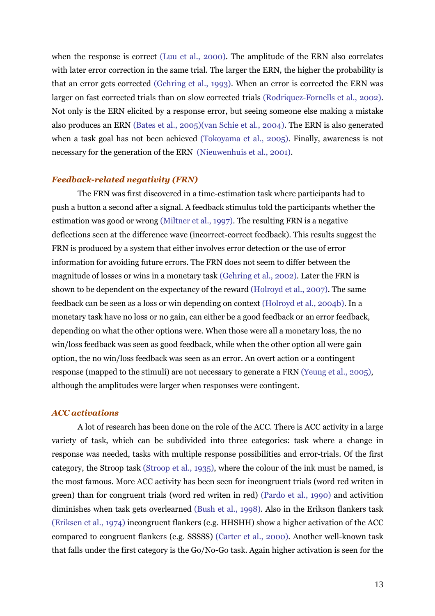when the response is correct (Luu et al., 2000). The amplitude of the ERN also correlates with later error correction in the same trial. The larger the ERN, the higher the probability is that an error gets corrected (Gehring et al., 1993). When an error is corrected the ERN was larger on fast corrected trials than on slow corrected trials (Rodriquez-Fornells et al., 2002). Not only is the ERN elicited by a response error, but seeing someone else making a mistake also produces an ERN (Bates et al., 2005)(van Schie et al., 2004). The ERN is also generated when a task goal has not been achieved (Tokoyama et al., 2005). Finally, awareness is not necessary for the generation of the ERN (Nieuwenhuis et al., 2001).

#### *Feedback-related negativity (FRN)*

 The FRN was first discovered in a time-estimation task where participants had to push a button a second after a signal. A feedback stimulus told the participants whether the estimation was good or wrong (Miltner et al., 1997). The resulting FRN is a negative deflections seen at the difference wave (incorrect-correct feedback). This results suggest the FRN is produced by a system that either involves error detection or the use of error information for avoiding future errors. The FRN does not seem to differ between the magnitude of losses or wins in a monetary task (Gehring et al., 2002). Later the FRN is shown to be dependent on the expectancy of the reward (Holroyd et al., 2007). The same feedback can be seen as a loss or win depending on context (Holroyd et al., 2004b). In a monetary task have no loss or no gain, can either be a good feedback or an error feedback, depending on what the other options were. When those were all a monetary loss, the no win/loss feedback was seen as good feedback, while when the other option all were gain option, the no win/loss feedback was seen as an error. An overt action or a contingent response (mapped to the stimuli) are not necessary to generate a FRN (Yeung et al., 2005), although the amplitudes were larger when responses were contingent.

#### *ACC activations*

A lot of research has been done on the role of the ACC. There is ACC activity in a large variety of task, which can be subdivided into three categories: task where a change in response was needed, tasks with multiple response possibilities and error-trials. Of the first category, the Stroop task (Stroop et al., 1935), where the colour of the ink must be named, is the most famous. More ACC activity has been seen for incongruent trials (word red writen in green) than for congruent trials (word red writen in red) (Pardo et al., 1990) and activition diminishes when task gets overlearned (Bush et al., 1998). Also in the Erikson flankers task (Eriksen et al., 1974) incongruent flankers (e.g. HHSHH) show a higher activation of the ACC compared to congruent flankers (e.g. SSSSS) (Carter et al., 2000). Another well-known task that falls under the first category is the Go/No-Go task. Again higher activation is seen for the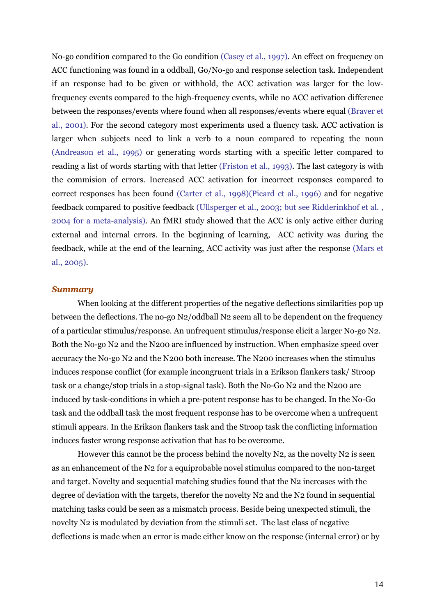No-go condition compared to the Go condition (Casey et al., 1997). An effect on frequency on ACC functioning was found in a oddball, Go/No-go and response selection task. Independent if an response had to be given or withhold, the ACC activation was larger for the lowfrequency events compared to the high-frequency events, while no ACC activation difference between the responses/events where found when all responses/events where equal (Braver et al., 2001). For the second category most experiments used a fluency task. ACC activation is larger when subjects need to link a verb to a noun compared to repeating the noun (Andreason et al., 1995) or generating words starting with a specific letter compared to reading a list of words starting with that letter (Friston et al., 1993). The last category is with the commision of errors. Increased ACC activation for incorrect responses compared to correct responses has been found (Carter et al., 1998)(Picard et al., 1996) and for negative feedback compared to positive feedback (Ullsperger et al., 2003; but see Ridderinkhof et al. , 2004 for a meta-analysis). An fMRI study showed that the ACC is only active either during external and internal errors. In the beginning of learning, ACC activity was during the feedback, while at the end of the learning, ACC activity was just after the response (Mars et al., 2005).

#### *Summary*

 When looking at the different properties of the negative deflections similarities pop up between the deflections. The no-go N2/oddball N2 seem all to be dependent on the frequency of a particular stimulus/response. An unfrequent stimulus/response elicit a larger No-go N2. Both the No-go N2 and the N200 are influenced by instruction. When emphasize speed over accuracy the No-go N2 and the N200 both increase. The N200 increases when the stimulus induces response conflict (for example incongruent trials in a Erikson flankers task/ Stroop task or a change/stop trials in a stop-signal task). Both the No-Go N2 and the N200 are induced by task-conditions in which a pre-potent response has to be changed. In the No-Go task and the oddball task the most frequent response has to be overcome when a unfrequent stimuli appears. In the Erikson flankers task and the Stroop task the conflicting information induces faster wrong response activation that has to be overcome.

However this cannot be the process behind the novelty  $N_2$ , as the novelty  $N_2$  is seen as an enhancement of the N2 for a equiprobable novel stimulus compared to the non-target and target. Novelty and sequential matching studies found that the N2 increases with the degree of deviation with the targets, therefor the novelty N2 and the N2 found in sequential matching tasks could be seen as a mismatch process. Beside being unexpected stimuli, the novelty N2 is modulated by deviation from the stimuli set. The last class of negative deflections is made when an error is made either know on the response (internal error) or by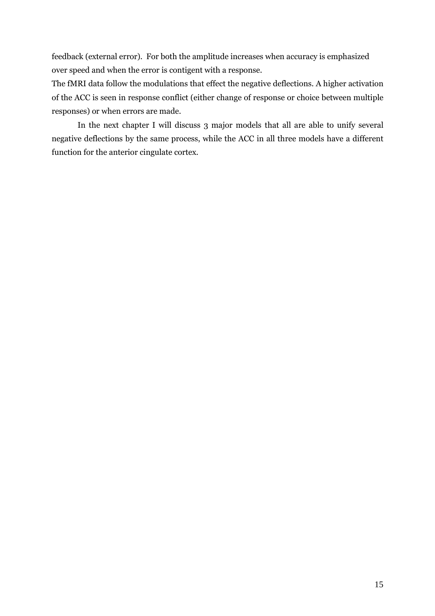feedback (external error). For both the amplitude increases when accuracy is emphasized over speed and when the error is contigent with a response.

The fMRI data follow the modulations that effect the negative deflections. A higher activation of the ACC is seen in response conflict (either change of response or choice between multiple responses) or when errors are made.

 In the next chapter I will discuss 3 major models that all are able to unify several negative deflections by the same process, while the ACC in all three models have a different function for the anterior cingulate cortex.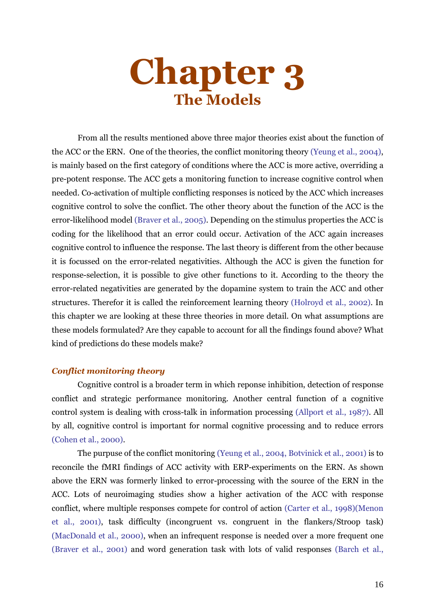# **Chapter 3 The Models**

 From all the results mentioned above three major theories exist about the function of the ACC or the ERN. One of the theories, the conflict monitoring theory (Yeung et al., 2004), is mainly based on the first category of conditions where the ACC is more active, overriding a pre-potent response. The ACC gets a monitoring function to increase cognitive control when needed. Co-activation of multiple conflicting responses is noticed by the ACC which increases cognitive control to solve the conflict. The other theory about the function of the ACC is the error-likelihood model (Braver et al., 2005). Depending on the stimulus properties the ACC is coding for the likelihood that an error could occur. Activation of the ACC again increases cognitive control to influence the response. The last theory is different from the other because it is focussed on the error-related negativities. Although the ACC is given the function for response-selection, it is possible to give other functions to it. According to the theory the error-related negativities are generated by the dopamine system to train the ACC and other structures. Therefor it is called the reinforcement learning theory (Holroyd et al., 2002). In this chapter we are looking at these three theories in more detail. On what assumptions are these models formulated? Are they capable to account for all the findings found above? What kind of predictions do these models make?

#### *Conflict monitoring theory*

 Cognitive control is a broader term in which reponse inhibition, detection of response conflict and strategic performance monitoring. Another central function of a cognitive control system is dealing with cross-talk in information processing (Allport et al., 1987). All by all, cognitive control is important for normal cognitive processing and to reduce errors (Cohen et al., 2000).

 The purpuse of the conflict monitoring (Yeung et al., 2004, Botvinick et al., 2001) is to reconcile the fMRI findings of ACC activity with ERP-experiments on the ERN. As shown above the ERN was formerly linked to error-processing with the source of the ERN in the ACC. Lots of neuroimaging studies show a higher activation of the ACC with response conflict, where multiple responses compete for control of action (Carter et al., 1998)(Menon et al., 2001), task difficulty (incongruent vs. congruent in the flankers/Stroop task) (MacDonald et al., 2000), when an infrequent response is needed over a more frequent one (Braver et al., 2001) and word generation task with lots of valid responses (Barch et al.,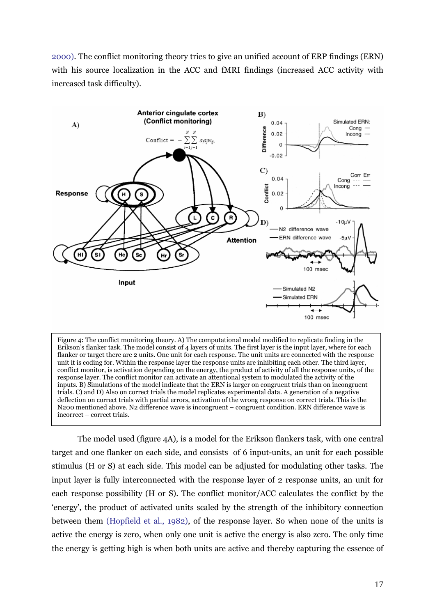2000). The conflict monitoring theory tries to give an unified account of ERP findings (ERN) with his source localization in the ACC and fMRI findings (increased ACC activity with increased task difficulty).



Figure 4: The conflict monitoring theory. A) The computational model modified to replicate finding in the Erikson's flanker task. The model consist of 4 layers of units. The first layer is the input layer, where for each flanker or target there are 2 units. One unit for each response. The unit units are connected with the response unit it is coding for. Within the response layer the response units are inhibiting each other. The third layer, conflict monitor, is activation depending on the energy, the product of activity of all the response units, of the response layer. The conflict monitor can activate an attentional system to modulated the activity of the inputs. B) Simulations of the model indicate that the ERN is larger on congruent trials than on incongruent trials. C) and D) Also on correct trials the model replicates experimental data. A generation of a negative deflection on correct trials with partial errors, activation of the wrong response on correct trials. This is the N200 mentioned above. N2 difference wave is incongruent – congruent condition. ERN difference wave is incorrect – correct trials.

 The model used (figure 4A), is a model for the Erikson flankers task, with one central target and one flanker on each side, and consists of 6 input-units, an unit for each possible stimulus (H or S) at each side. This model can be adjusted for modulating other tasks. The input layer is fully interconnected with the response layer of 2 response units, an unit for each response possibility (H or S). The conflict monitor/ACC calculates the conflict by the 'energy', the product of activated units scaled by the strength of the inhibitory connection between them (Hopfield et al., 1982), of the response layer. So when none of the units is active the energy is zero, when only one unit is active the energy is also zero. The only time the energy is getting high is when both units are active and thereby capturing the essence of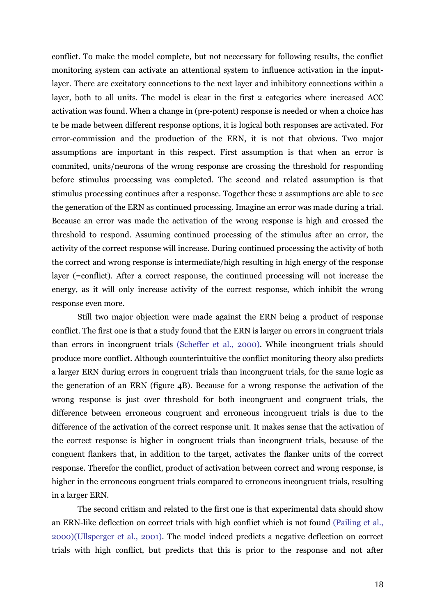conflict. To make the model complete, but not neccessary for following results, the conflict monitoring system can activate an attentional system to influence activation in the inputlayer. There are excitatory connections to the next layer and inhibitory connections within a layer, both to all units. The model is clear in the first 2 categories where increased ACC activation was found. When a change in (pre-potent) response is needed or when a choice has te be made between different response options, it is logical both responses are activated. For error-commission and the production of the ERN, it is not that obvious. Two major assumptions are important in this respect. First assumption is that when an error is commited, units/neurons of the wrong response are crossing the threshold for responding before stimulus processing was completed. The second and related assumption is that stimulus processing continues after a response. Together these 2 assumptions are able to see the generation of the ERN as continued processing. Imagine an error was made during a trial. Because an error was made the activation of the wrong response is high and crossed the threshold to respond. Assuming continued processing of the stimulus after an error, the activity of the correct response will increase. During continued processing the activity of both the correct and wrong response is intermediate/high resulting in high energy of the response layer (=conflict). After a correct response, the continued processing will not increase the energy, as it will only increase activity of the correct response, which inhibit the wrong response even more.

 Still two major objection were made against the ERN being a product of response conflict. The first one is that a study found that the ERN is larger on errors in congruent trials than errors in incongruent trials (Scheffer et al., 2000). While incongruent trials should produce more conflict. Although counterintuitive the conflict monitoring theory also predicts a larger ERN during errors in congruent trials than incongruent trials, for the same logic as the generation of an ERN (figure 4B). Because for a wrong response the activation of the wrong response is just over threshold for both incongruent and congruent trials, the difference between erroneous congruent and erroneous incongruent trials is due to the difference of the activation of the correct response unit. It makes sense that the activation of the correct response is higher in congruent trials than incongruent trials, because of the conguent flankers that, in addition to the target, activates the flanker units of the correct response. Therefor the conflict, product of activation between correct and wrong response, is higher in the erroneous congruent trials compared to erroneous incongruent trials, resulting in a larger ERN.

 The second critism and related to the first one is that experimental data should show an ERN-like deflection on correct trials with high conflict which is not found (Pailing et al., 2000)(Ullsperger et al., 2001). The model indeed predicts a negative deflection on correct trials with high conflict, but predicts that this is prior to the response and not after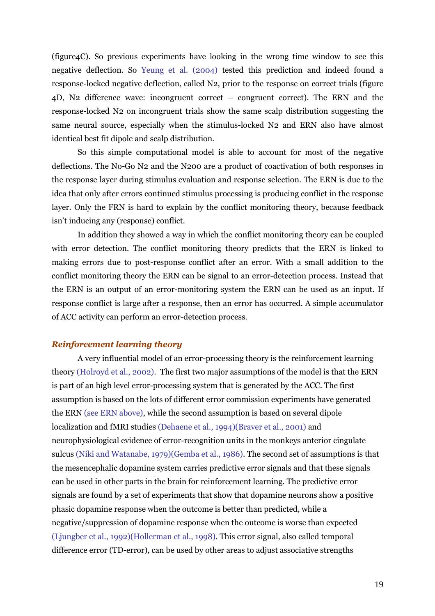(figure4C). So previous experiments have looking in the wrong time window to see this negative deflection. So Yeung et al. (2004) tested this prediction and indeed found a response-locked negative deflection, called N2, prior to the response on correct trials (figure 4D, N2 difference wave: incongruent correct – congruent correct). The ERN and the response-locked N2 on incongruent trials show the same scalp distribution suggesting the same neural source, especially when the stimulus-locked N2 and ERN also have almost identical best fit dipole and scalp distribution.

 So this simple computational model is able to account for most of the negative deflections. The No-Go N2 and the N200 are a product of coactivation of both responses in the response layer during stimulus evaluation and response selection. The ERN is due to the idea that only after errors continued stimulus processing is producing conflict in the response layer. Only the FRN is hard to explain by the conflict monitoring theory, because feedback isn't inducing any (response) conflict.

 In addition they showed a way in which the conflict monitoring theory can be coupled with error detection. The conflict monitoring theory predicts that the ERN is linked to making errors due to post-response conflict after an error. With a small addition to the conflict monitoring theory the ERN can be signal to an error-detection process. Instead that the ERN is an output of an error-monitoring system the ERN can be used as an input. If response conflict is large after a response, then an error has occurred. A simple accumulator of ACC activity can perform an error-detection process.

#### *Reinforcement learning theory*

A very influential model of an error-processing theory is the reinforcement learning theory (Holroyd et al., 2002). The first two major assumptions of the model is that the ERN is part of an high level error-processing system that is generated by the ACC. The first assumption is based on the lots of different error commission experiments have generated the ERN (see ERN above), while the second assumption is based on several dipole localization and fMRI studies (Dehaene et al., 1994)(Braver et al., 2001) and neurophysiological evidence of error-recognition units in the monkeys anterior cingulate sulcus (Niki and Watanabe, 1979)(Gemba et al., 1986). The second set of assumptions is that the mesencephalic dopamine system carries predictive error signals and that these signals can be used in other parts in the brain for reinforcement learning. The predictive error signals are found by a set of experiments that show that dopamine neurons show a positive phasic dopamine response when the outcome is better than predicted, while a negative/suppression of dopamine response when the outcome is worse than expected (Ljungber et al., 1992)(Hollerman et al., 1998). This error signal, also called temporal difference error (TD-error), can be used by other areas to adjust associative strengths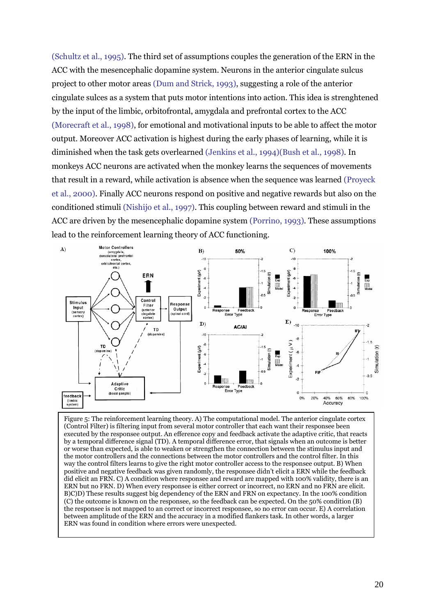(Schultz et al., 1995). The third set of assumptions couples the generation of the ERN in the ACC with the mesencephalic dopamine system. Neurons in the anterior cingulate sulcus project to other motor areas (Dum and Strick, 1993), suggesting a role of the anterior cingulate sulces as a system that puts motor intentions into action. This idea is strenghtened by the input of the limbic, orbitofrontal, amygdala and prefrontal cortex to the ACC (Morecraft et al., 1998), for emotional and motivational inputs to be able to affect the motor output. Moreover ACC activation is highest during the early phases of learning, while it is diminished when the task gets overlearned (Jenkins et al., 1994)(Bush et al., 1998). In monkeys ACC neurons are activated when the monkey learns the sequences of movements that result in a reward, while activation is absence when the sequence was learned (Proyeck et al., 2000). Finally ACC neurons respond on positive and negative rewards but also on the conditioned stimuli (Nishijo et al., 1997). This coupling between reward and stimuli in the ACC are driven by the mesencephalic dopamine system (Porrino, 1993). These assumptions lead to the reinforcement learning theory of ACC functioning.



Figure 5: The reinforcement learning theory. A) The computational model. The anterior cingulate cortex (Control Filter) is filtering input from several motor controller that each want their responsee been executed by the responsee output. An efference copy and feedback activate the adaptive critic, that reacts by a temporal difference signal (TD). A temporal difference error, that signals when an outcome is better or worse than expected, is able to weaken or strengthen the connection between the stimulus input and the motor controllers and the connections between the motor controllers and the control filter. In this way the control filters learns to give the right motor controller access to the responsee output. B) When positive and negative feedback was given randomly, the responsee didn't elicit a ERN while the feedback did elicit an FRN. C) A condition where responsee and reward are mapped with 100% validity, there is an ERN but no FRN. D) When every responsee is either correct or incorrect, no ERN and no FRN are elicit. B)C)D) These results suggest big dependency of the ERN and FRN on expectancy. In the 100% condition (C) the outcome is known on the responsee, so the feedback can be expected. On the 50% condition (B) the responsee is not mapped to an correct or incorrect responsee, so no error can occur. E) A correlation between amplitude of the ERN and the accuracy in a modified flankers task. In other words, a larger ERN was found in condition where errors were unexpected.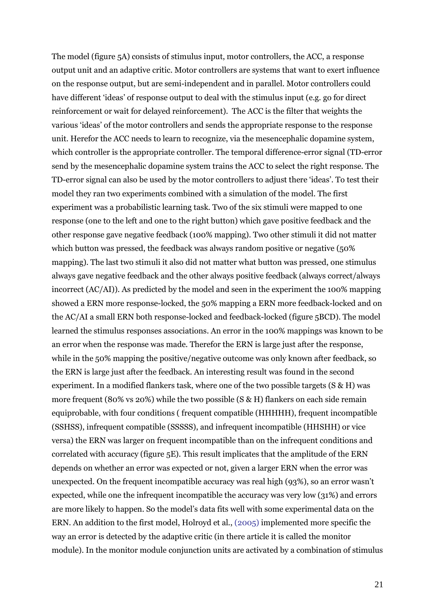The model (figure 5A) consists of stimulus input, motor controllers, the ACC, a response output unit and an adaptive critic. Motor controllers are systems that want to exert influence on the response output, but are semi-independent and in parallel. Motor controllers could have different 'ideas' of response output to deal with the stimulus input (e.g. go for direct reinforcement or wait for delayed reinforcement). The ACC is the filter that weights the various 'ideas' of the motor controllers and sends the appropriate response to the response unit. Herefor the ACC needs to learn to recognize, via the mesencephalic dopamine system, which controller is the appropriate controller. The temporal difference-error signal (TD-error send by the mesencephalic dopamine system trains the ACC to select the right response. The TD-error signal can also be used by the motor controllers to adjust there 'ideas'. To test their model they ran two experiments combined with a simulation of the model. The first experiment was a probabilistic learning task. Two of the six stimuli were mapped to one response (one to the left and one to the right button) which gave positive feedback and the other response gave negative feedback (100% mapping). Two other stimuli it did not matter which button was pressed, the feedback was always random positive or negative (50%) mapping). The last two stimuli it also did not matter what button was pressed, one stimulus always gave negative feedback and the other always positive feedback (always correct/always incorrect (AC/AI)). As predicted by the model and seen in the experiment the 100% mapping showed a ERN more response-locked, the 50% mapping a ERN more feedback-locked and on the AC/AI a small ERN both response-locked and feedback-locked (figure 5BCD). The model learned the stimulus responses associations. An error in the 100% mappings was known to be an error when the response was made. Therefor the ERN is large just after the response, while in the 50% mapping the positive/negative outcome was only known after feedback, so the ERN is large just after the feedback. An interesting result was found in the second experiment. In a modified flankers task, where one of the two possible targets  $(S \& H)$  was more frequent (80% vs 20%) while the two possible (S & H) flankers on each side remain equiprobable, with four conditions ( frequent compatible (HHHHH), frequent incompatible (SSHSS), infrequent compatible (SSSSS), and infrequent incompatible (HHSHH) or vice versa) the ERN was larger on frequent incompatible than on the infrequent conditions and correlated with accuracy (figure 5E). This result implicates that the amplitude of the ERN depends on whether an error was expected or not, given a larger ERN when the error was unexpected. On the frequent incompatible accuracy was real high (93%), so an error wasn't expected, while one the infrequent incompatible the accuracy was very low (31%) and errors are more likely to happen. So the model's data fits well with some experimental data on the ERN. An addition to the first model, Holroyd et al., (2005) implemented more specific the way an error is detected by the adaptive critic (in there article it is called the monitor module). In the monitor module conjunction units are activated by a combination of stimulus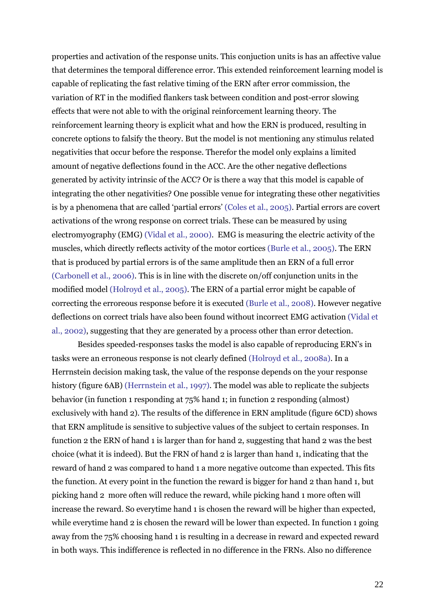properties and activation of the response units. This conjuction units is has an affective value that determines the temporal difference error. This extended reinforcement learning model is capable of replicating the fast relative timing of the ERN after error commission, the variation of RT in the modified flankers task between condition and post-error slowing effects that were not able to with the original reinforcement learning theory. The reinforcement learning theory is explicit what and how the ERN is produced, resulting in concrete options to falsify the theory. But the model is not mentioning any stimulus related negativities that occur before the response. Therefor the model only explains a limited amount of negative deflections found in the ACC. Are the other negative deflections generated by activity intrinsic of the ACC? Or is there a way that this model is capable of integrating the other negativities? One possible venue for integrating these other negativities is by a phenomena that are called 'partial errors' (Coles et al., 2005). Partial errors are covert activations of the wrong response on correct trials. These can be measured by using electromyography (EMG) (Vidal et al., 2000). EMG is measuring the electric activity of the muscles, which directly reflects activity of the motor cortices (Burle et al., 2005). The ERN that is produced by partial errors is of the same amplitude then an ERN of a full error (Carbonell et al., 2006). This is in line with the discrete on/off conjunction units in the modified model (Holroyd et al., 2005). The ERN of a partial error might be capable of correcting the erroreous response before it is executed (Burle et al., 2008). However negative deflections on correct trials have also been found without incorrect EMG activation (Vidal et al., 2002), suggesting that they are generated by a process other than error detection.

 Besides speeded-responses tasks the model is also capable of reproducing ERN's in tasks were an erroneous response is not clearly defined (Holroyd et al., 2008a). In a Herrnstein decision making task, the value of the response depends on the your response history (figure 6AB) (Herrnstein et al., 1997). The model was able to replicate the subjects behavior (in function 1 responding at 75% hand 1; in function 2 responding (almost) exclusively with hand 2). The results of the difference in ERN amplitude (figure 6CD) shows that ERN amplitude is sensitive to subjective values of the subject to certain responses. In function 2 the ERN of hand 1 is larger than for hand 2, suggesting that hand 2 was the best choice (what it is indeed). But the FRN of hand 2 is larger than hand 1, indicating that the reward of hand 2 was compared to hand 1 a more negative outcome than expected. This fits the function. At every point in the function the reward is bigger for hand 2 than hand 1, but picking hand 2 more often will reduce the reward, while picking hand 1 more often will increase the reward. So everytime hand 1 is chosen the reward will be higher than expected, while everytime hand 2 is chosen the reward will be lower than expected. In function 1 going away from the 75% choosing hand 1 is resulting in a decrease in reward and expected reward in both ways. This indifference is reflected in no difference in the FRNs. Also no difference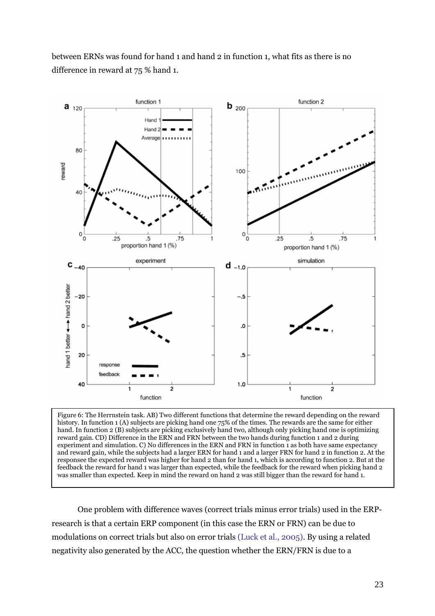between ERNs was found for hand 1 and hand 2 in function 1, what fits as there is no difference in reward at 75 % hand 1.



Figure 6: The Herrnstein task. AB) Two different functions that determine the reward depending on the reward history. In function 1 (A) subjects are picking hand one  $75\%$  of the times. The rewards are the same for either hand. In function 2 (B) subjects are picking exclusively hand two, although only picking hand one is optimizing reward gain. CD) Difference in the ERN and FRN between the two hands during function 1 and 2 during experiment and simulation. C) No differences in the ERN and FRN in function 1 as both have same expectancy and reward gain, while the subjects had a larger ERN for hand 1 and a larger FRN for hand 2 in function 2. At the responsee the expected reward was higher for hand 2 than for hand 1, which is according to function 2. But at the feedback the reward for hand 1 was larger than expected, while the feedback for the reward when picking hand 2 was smaller than expected. Keep in mind the reward on hand 2 was still bigger than the reward for hand 1.

 One problem with difference waves (correct trials minus error trials) used in the ERPresearch is that a certain ERP component (in this case the ERN or FRN) can be due to modulations on correct trials but also on error trials (Luck et al., 2005). By using a related negativity also generated by the ACC, the question whether the ERN/FRN is due to a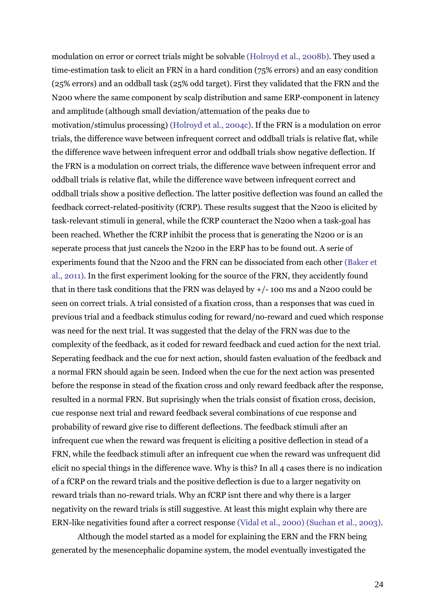modulation on error or correct trials might be solvable (Holroyd et al., 2008b). They used a time-estimation task to elicit an FRN in a hard condition (75% errors) and an easy condition (25% errors) and an oddball task (25% odd target). First they validated that the FRN and the N200 where the same component by scalp distribution and same ERP-component in latency and amplitude (although small deviation/attenuation of the peaks due to motivation/stimulus processing) (Holroyd et al., 2004c). If the FRN is a modulation on error trials, the difference wave between infrequent correct and oddball trials is relative flat, while the difference wave between infrequent error and oddball trials show negative deflection. If the FRN is a modulation on correct trials, the difference wave between infrequent error and oddball trials is relative flat, while the difference wave between infrequent correct and oddball trials show a positive deflection. The latter positive deflection was found an called the feedback correct-related-positivity (fCRP). These results suggest that the N200 is elicited by task-relevant stimuli in general, while the fCRP counteract the N200 when a task-goal has been reached. Whether the fCRP inhibit the process that is generating the N200 or is an seperate process that just cancels the N200 in the ERP has to be found out. A serie of experiments found that the N200 and the FRN can be dissociated from each other (Baker et al., 2011). In the first experiment looking for the source of the FRN, they accidently found that in there task conditions that the FRN was delayed by +/- 100 ms and a N200 could be seen on correct trials. A trial consisted of a fixation cross, than a responses that was cued in previous trial and a feedback stimulus coding for reward/no-reward and cued which response was need for the next trial. It was suggested that the delay of the FRN was due to the complexity of the feedback, as it coded for reward feedback and cued action for the next trial. Seperating feedback and the cue for next action, should fasten evaluation of the feedback and a normal FRN should again be seen. Indeed when the cue for the next action was presented before the response in stead of the fixation cross and only reward feedback after the response, resulted in a normal FRN. But suprisingly when the trials consist of fixation cross, decision, cue response next trial and reward feedback several combinations of cue response and probability of reward give rise to different deflections. The feedback stimuli after an infrequent cue when the reward was frequent is eliciting a positive deflection in stead of a FRN, while the feedback stimuli after an infrequent cue when the reward was unfrequent did elicit no special things in the difference wave. Why is this? In all 4 cases there is no indication of a fCRP on the reward trials and the positive deflection is due to a larger negativity on reward trials than no-reward trials. Why an fCRP isnt there and why there is a larger negativity on the reward trials is still suggestive. At least this might explain why there are ERN-like negativities found after a correct response (Vidal et al., 2000) (Suchan et al., 2003).

 Although the model started as a model for explaining the ERN and the FRN being generated by the mesencephalic dopamine system, the model eventually investigated the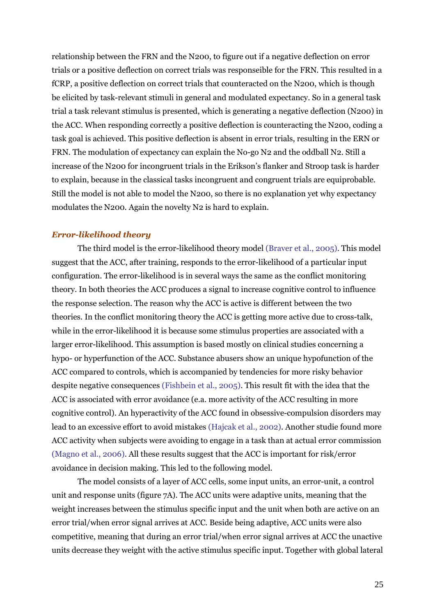relationship between the FRN and the N200, to figure out if a negative deflection on error trials or a positive deflection on correct trials was responseible for the FRN. This resulted in a fCRP, a positive deflection on correct trials that counteracted on the N200, which is though be elicited by task-relevant stimuli in general and modulated expectancy. So in a general task trial a task relevant stimulus is presented, which is generating a negative deflection (N200) in the ACC. When responding correctly a positive deflection is counteracting the N200, coding a task goal is achieved. This positive deflection is absent in error trials, resulting in the ERN or FRN. The modulation of expectancy can explain the No-go N2 and the oddball N2. Still a increase of the N200 for incongruent trials in the Erikson's flanker and Stroop task is harder to explain, because in the classical tasks incongruent and congruent trials are equiprobable. Still the model is not able to model the N200, so there is no explanation yet why expectancy modulates the N200. Again the novelty N2 is hard to explain.

#### *Error-likelihood theory*

 The third model is the error-likelihood theory model (Braver et al., 2005). This model suggest that the ACC, after training, responds to the error-likelihood of a particular input configuration. The error-likelihood is in several ways the same as the conflict monitoring theory. In both theories the ACC produces a signal to increase cognitive control to influence the response selection. The reason why the ACC is active is different between the two theories. In the conflict monitoring theory the ACC is getting more active due to cross-talk, while in the error-likelihood it is because some stimulus properties are associated with a larger error-likelihood. This assumption is based mostly on clinical studies concerning a hypo- or hyperfunction of the ACC. Substance abusers show an unique hypofunction of the ACC compared to controls, which is accompanied by tendencies for more risky behavior despite negative consequences (Fishbein et al., 2005). This result fit with the idea that the ACC is associated with error avoidance (e.a. more activity of the ACC resulting in more cognitive control). An hyperactivity of the ACC found in obsessive-compulsion disorders may lead to an excessive effort to avoid mistakes (Hajcak et al., 2002). Another studie found more ACC activity when subjects were avoiding to engage in a task than at actual error commission (Magno et al., 2006). All these results suggest that the ACC is important for risk/error avoidance in decision making. This led to the following model.

The model consists of a layer of ACC cells, some input units, an error-unit, a control unit and response units (figure 7A). The ACC units were adaptive units, meaning that the weight increases between the stimulus specific input and the unit when both are active on an error trial/when error signal arrives at ACC. Beside being adaptive, ACC units were also competitive, meaning that during an error trial/when error signal arrives at ACC the unactive units decrease they weight with the active stimulus specific input. Together with global lateral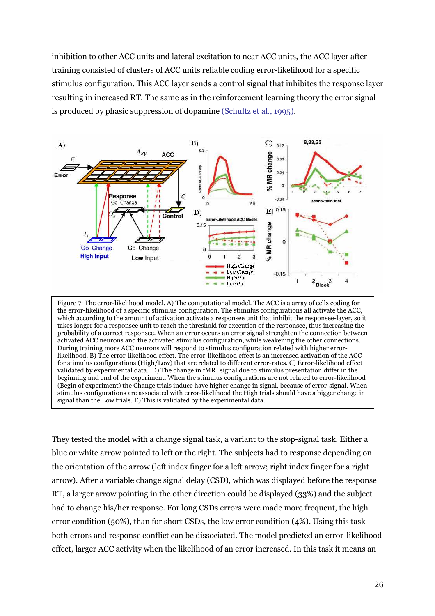inhibition to other ACC units and lateral excitation to near ACC units, the ACC layer after training consisted of clusters of ACC units reliable coding error-likelihood for a specific stimulus configuration. This ACC layer sends a control signal that inhibites the response layer resulting in increased RT. The same as in the reinforcement learning theory the error signal is produced by phasic suppression of dopamine (Schultz et al., 1995).



Figure 7: The error-likelihood model. A) The computational model. The ACC is a array of cells coding for the error-likelihood of a specific stimulus configuration. The stimulus configurations all activate the ACC, which according to the amount of activation activate a responsee unit that inhibit the responsee-layer, so it takes longer for a responsee unit to reach the threshold for execution of the responsee, thus increasing the probability of a correct responsee. When an error occurs an error signal strenghten the connection between activated ACC neurons and the activated stimulus configuration, while weakening the other connections. During training more ACC neurons will respond to stimulus configuration related with higher errorlikelihood. B) The error-likelihood effect. The error-likelihood effect is an increased activation of the ACC for stimulus configurations (High/Low) that are related to different error-rates. C) Error-likelihood effect validated by experimental data. D) The change in fMRI signal due to stimulus presentation differ in the beginning and end of the experiment. When the stimulus configurations are not related to error-likelihood (Begin of experiment) the Change trials induce have higher change in signal, because of error-signal. When stimulus configurations are associated with error-likelihood the High trials should have a bigger change in signal than the Low trials. E) This is validated by the experimental data.

They tested the model with a change signal task, a variant to the stop-signal task. Either a blue or white arrow pointed to left or the right. The subjects had to response depending on the orientation of the arrow (left index finger for a left arrow; right index finger for a right arrow). After a variable change signal delay (CSD), which was displayed before the response RT, a larger arrow pointing in the other direction could be displayed (33%) and the subject had to change his/her response. For long CSDs errors were made more frequent, the high error condition (50%), than for short CSDs, the low error condition (4%). Using this task both errors and response conflict can be dissociated. The model predicted an error-likelihood effect, larger ACC activity when the likelihood of an error increased. In this task it means an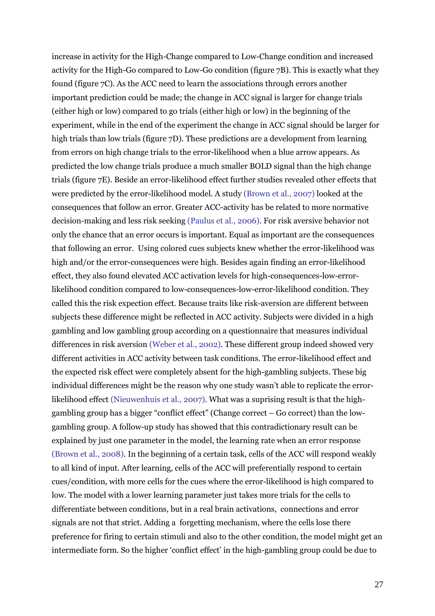increase in activity for the High-Change compared to Low-Change condition and increased activity for the High-Go compared to Low-Go condition (figure 7B). This is exactly what they found (figure 7C). As the ACC need to learn the associations through errors another important prediction could be made; the change in ACC signal is larger for change trials (either high or low) compared to go trials (either high or low) in the beginning of the experiment, while in the end of the experiment the change in ACC signal should be larger for high trials than low trials (figure 7D). These predictions are a development from learning from errors on high change trials to the error-likelihood when a blue arrow appears. As predicted the low change trials produce a much smaller BOLD signal than the high change trials (figure 7E). Beside an error-likelihood effect further studies revealed other effects that were predicted by the error-likelihood model. A study (Brown et al., 2007) looked at the consequences that follow an error. Greater ACC-activity has be related to more normative decision-making and less risk seeking (Paulus et al., 2006). For risk aversive behavior not only the chance that an error occurs is important. Equal as important are the consequences that following an error. Using colored cues subjects knew whether the error-likelihood was high and/or the error-consequences were high. Besides again finding an error-likelihood effect, they also found elevated ACC activation levels for high-consequences-low-errorlikelihood condition compared to low-consequences-low-error-likelihood condition. They called this the risk expection effect. Because traits like risk-aversion are different between subjects these difference might be reflected in ACC activity. Subjects were divided in a high gambling and low gambling group according on a questionnaire that measures individual differences in risk aversion (Weber et al., 2002). These different group indeed showed very different activities in ACC activity between task conditions. The error-likelihood effect and the expected risk effect were completely absent for the high-gambling subjects. These big individual differences might be the reason why one study wasn't able to replicate the errorlikelihood effect (Nieuwenhuis et al., 2007). What was a suprising result is that the highgambling group has a bigger "conflict effect" (Change correct – Go correct) than the lowgambling group. A follow-up study has showed that this contradictionary result can be explained by just one parameter in the model, the learning rate when an error response (Brown et al., 2008). In the beginning of a certain task, cells of the ACC will respond weakly to all kind of input. After learning, cells of the ACC will preferentially respond to certain cues/condition, with more cells for the cues where the error-likelihood is high compared to low. The model with a lower learning parameter just takes more trials for the cells to differentiate between conditions, but in a real brain activations, connections and error signals are not that strict. Adding a forgetting mechanism, where the cells lose there preference for firing to certain stimuli and also to the other condition, the model might get an intermediate form. So the higher 'conflict effect' in the high-gambling group could be due to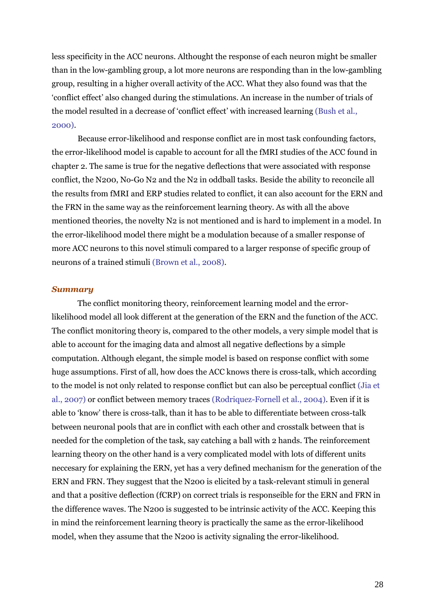less specificity in the ACC neurons. Althought the response of each neuron might be smaller than in the low-gambling group, a lot more neurons are responding than in the low-gambling group, resulting in a higher overall activity of the ACC. What they also found was that the 'conflict effect' also changed during the stimulations. An increase in the number of trials of the model resulted in a decrease of 'conflict effect' with increased learning (Bush et al., 2000).

 Because error-likelihood and response conflict are in most task confounding factors, the error-likelihood model is capable to account for all the fMRI studies of the ACC found in chapter 2. The same is true for the negative deflections that were associated with response conflict, the N200, No-Go N2 and the N2 in oddball tasks. Beside the ability to reconcile all the results from fMRI and ERP studies related to conflict, it can also account for the ERN and the FRN in the same way as the reinforcement learning theory. As with all the above mentioned theories, the novelty N2 is not mentioned and is hard to implement in a model. In the error-likelihood model there might be a modulation because of a smaller response of more ACC neurons to this novel stimuli compared to a larger response of specific group of neurons of a trained stimuli (Brown et al., 2008).

#### *Summary*

The conflict monitoring theory, reinforcement learning model and the errorlikelihood model all look different at the generation of the ERN and the function of the ACC. The conflict monitoring theory is, compared to the other models, a very simple model that is able to account for the imaging data and almost all negative deflections by a simple computation. Although elegant, the simple model is based on response conflict with some huge assumptions. First of all, how does the ACC knows there is cross-talk, which according to the model is not only related to response conflict but can also be perceptual conflict (Jia et al., 2007) or conflict between memory traces (Rodriquez-Fornell et al., 2004). Even if it is able to 'know' there is cross-talk, than it has to be able to differentiate between cross-talk between neuronal pools that are in conflict with each other and crosstalk between that is needed for the completion of the task, say catching a ball with 2 hands. The reinforcement learning theory on the other hand is a very complicated model with lots of different units neccesary for explaining the ERN, yet has a very defined mechanism for the generation of the ERN and FRN. They suggest that the N200 is elicited by a task-relevant stimuli in general and that a positive deflection (fCRP) on correct trials is responseible for the ERN and FRN in the difference waves. The N200 is suggested to be intrinsic activity of the ACC. Keeping this in mind the reinforcement learning theory is practically the same as the error-likelihood model, when they assume that the N200 is activity signaling the error-likelihood.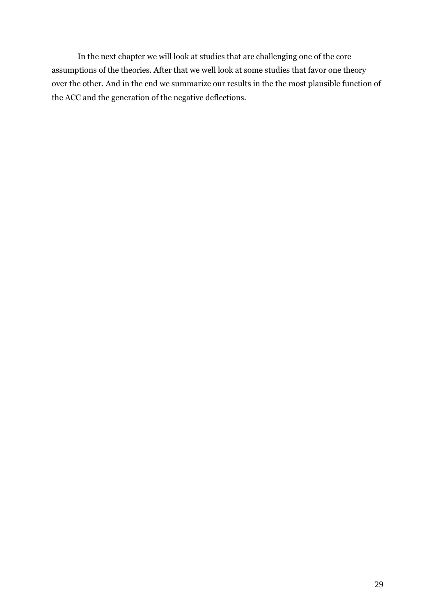In the next chapter we will look at studies that are challenging one of the core assumptions of the theories. After that we well look at some studies that favor one theory over the other. And in the end we summarize our results in the the most plausible function of the ACC and the generation of the negative deflections.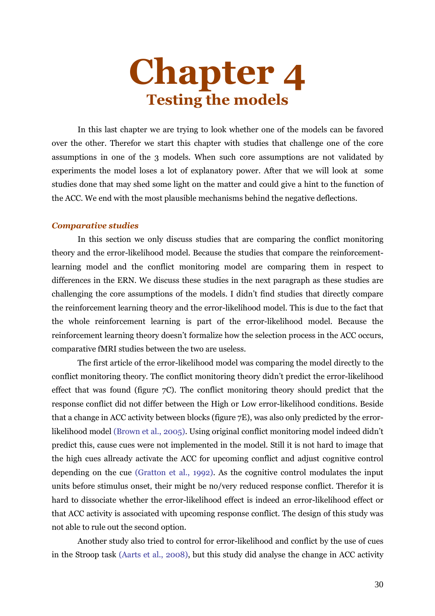# **Chapter 4 Testing the models**

 In this last chapter we are trying to look whether one of the models can be favored over the other. Therefor we start this chapter with studies that challenge one of the core assumptions in one of the 3 models. When such core assumptions are not validated by experiments the model loses a lot of explanatory power. After that we will look at some studies done that may shed some light on the matter and could give a hint to the function of the ACC. We end with the most plausible mechanisms behind the negative deflections.

#### *Comparative studies*

 In this section we only discuss studies that are comparing the conflict monitoring theory and the error-likelihood model. Because the studies that compare the reinforcementlearning model and the conflict monitoring model are comparing them in respect to differences in the ERN. We discuss these studies in the next paragraph as these studies are challenging the core assumptions of the models. I didn't find studies that directly compare the reinforcement learning theory and the error-likelihood model. This is due to the fact that the whole reinforcement learning is part of the error-likelihood model. Because the reinforcement learning theory doesn't formalize how the selection process in the ACC occurs, comparative fMRI studies between the two are useless.

 The first article of the error-likelihood model was comparing the model directly to the conflict monitoring theory. The conflict monitoring theory didn't predict the error-likelihood effect that was found (figure 7C). The conflict monitoring theory should predict that the response conflict did not differ between the High or Low error-likelihood conditions. Beside that a change in ACC activity between blocks (figure 7E), was also only predicted by the errorlikelihood model (Brown et al., 2005). Using original conflict monitoring model indeed didn't predict this, cause cues were not implemented in the model. Still it is not hard to image that the high cues allready activate the ACC for upcoming conflict and adjust cognitive control depending on the cue (Gratton et al., 1992). As the cognitive control modulates the input units before stimulus onset, their might be no/very reduced response conflict. Therefor it is hard to dissociate whether the error-likelihood effect is indeed an error-likelihood effect or that ACC activity is associated with upcoming response conflict. The design of this study was not able to rule out the second option.

 Another study also tried to control for error-likelihood and conflict by the use of cues in the Stroop task (Aarts et al., 2008), but this study did analyse the change in ACC activity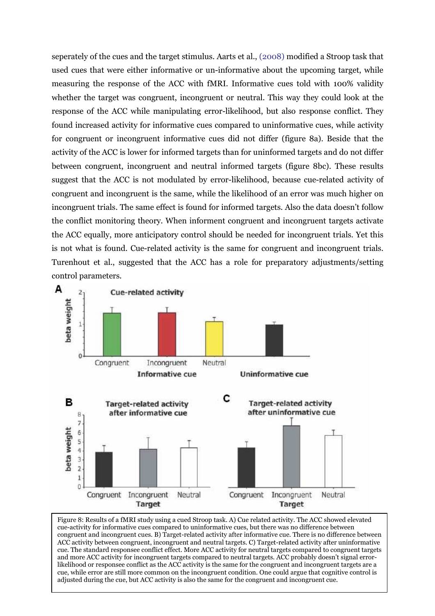seperately of the cues and the target stimulus. Aarts et al., (2008) modified a Stroop task that used cues that were either informative or un-informative about the upcoming target, while measuring the response of the ACC with fMRI. Informative cues told with 100% validity whether the target was congruent, incongruent or neutral. This way they could look at the response of the ACC while manipulating error-likelihood, but also response conflict. They found increased activity for informative cues compared to uninformative cues, while activity for congruent or incongruent informative cues did not differ (figure 8a). Beside that the activity of the ACC is lower for informed targets than for uninformed targets and do not differ between congruent, incongruent and neutral informed targets (figure 8bc). These results suggest that the ACC is not modulated by error-likelihood, because cue-related activity of congruent and incongruent is the same, while the likelihood of an error was much higher on incongruent trials. The same effect is found for informed targets. Also the data doesn't follow the conflict monitoring theory. When informent congruent and incongruent targets activate the ACC equally, more anticipatory control should be needed for incongruent trials. Yet this is not what is found. Cue-related activity is the same for congruent and incongruent trials. Turenhout et al., suggested that the ACC has a role for preparatory adjustments/setting control parameters.



Figure 8: Results of a fMRI study using a cued Stroop task. A) Cue related activity. The ACC showed elevated cue-activity for informative cues compared to uninformative cues, but there was no difference between congruent and incongruent cues. B) Target-related activity after informative cue. There is no difference between ACC activity between congruent, incongruent and neutral targets. C) Target-related activity after uninformative cue. The standard responsee conflict effect. More ACC activity for neutral targets compared to congruent targets and more ACC activity for incongruent targets compared to neutral targets. ACC probably doesn't signal errorlikelihood or responsee conflict as the ACC activity is the same for the congruent and incongruent targets are a cue, while error are still more common on the incongruent condition. One could argue that cognitive control is adjusted during the cue, but ACC activity is also the same for the congruent and incongruent cue.

 $\overline{\phantom{a}}$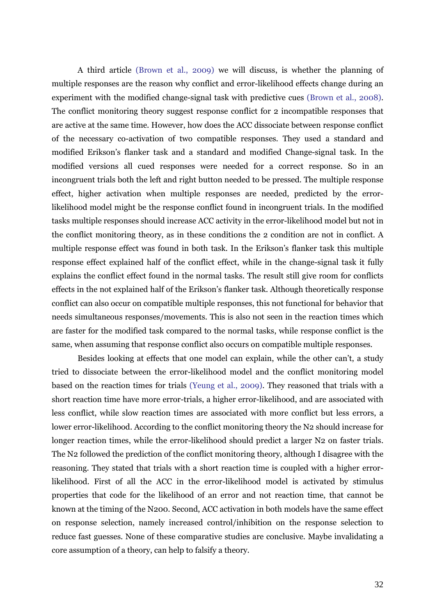A third article (Brown et al., 2009) we will discuss, is whether the planning of multiple responses are the reason why conflict and error-likelihood effects change during an experiment with the modified change-signal task with predictive cues (Brown et al., 2008). The conflict monitoring theory suggest response conflict for 2 incompatible responses that are active at the same time. However, how does the ACC dissociate between response conflict of the necessary co-activation of two compatible responses. They used a standard and modified Erikson's flanker task and a standard and modified Change-signal task. In the modified versions all cued responses were needed for a correct response. So in an incongruent trials both the left and right button needed to be pressed. The multiple response effect, higher activation when multiple responses are needed, predicted by the errorlikelihood model might be the response conflict found in incongruent trials. In the modified tasks multiple responses should increase ACC activity in the error-likelihood model but not in the conflict monitoring theory, as in these conditions the 2 condition are not in conflict. A multiple response effect was found in both task. In the Erikson's flanker task this multiple response effect explained half of the conflict effect, while in the change-signal task it fully explains the conflict effect found in the normal tasks. The result still give room for conflicts effects in the not explained half of the Erikson's flanker task. Although theoretically response conflict can also occur on compatible multiple responses, this not functional for behavior that needs simultaneous responses/movements. This is also not seen in the reaction times which are faster for the modified task compared to the normal tasks, while response conflict is the same, when assuming that response conflict also occurs on compatible multiple responses.

 Besides looking at effects that one model can explain, while the other can't, a study tried to dissociate between the error-likelihood model and the conflict monitoring model based on the reaction times for trials (Yeung et al., 2009). They reasoned that trials with a short reaction time have more error-trials, a higher error-likelihood, and are associated with less conflict, while slow reaction times are associated with more conflict but less errors, a lower error-likelihood. According to the conflict monitoring theory the N2 should increase for longer reaction times, while the error-likelihood should predict a larger N2 on faster trials. The N2 followed the prediction of the conflict monitoring theory, although I disagree with the reasoning. They stated that trials with a short reaction time is coupled with a higher errorlikelihood. First of all the ACC in the error-likelihood model is activated by stimulus properties that code for the likelihood of an error and not reaction time, that cannot be known at the timing of the N200. Second, ACC activation in both models have the same effect on response selection, namely increased control/inhibition on the response selection to reduce fast guesses. None of these comparative studies are conclusive. Maybe invalidating a core assumption of a theory, can help to falsify a theory.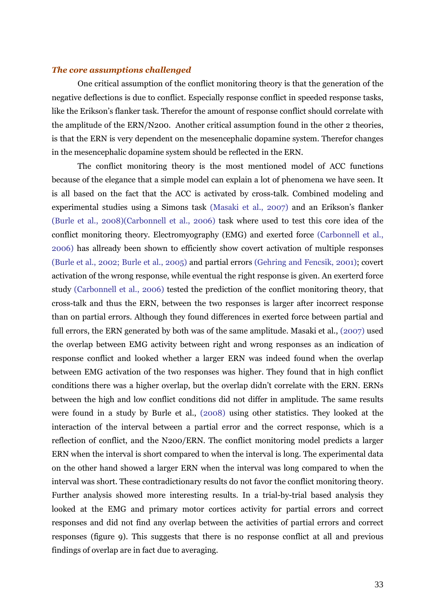#### *The core assumptions challenged*

 One critical assumption of the conflict monitoring theory is that the generation of the negative deflections is due to conflict. Especially response conflict in speeded response tasks, like the Erikson's flanker task. Therefor the amount of response conflict should correlate with the amplitude of the ERN/N200. Another critical assumption found in the other 2 theories, is that the ERN is very dependent on the mesencephalic dopamine system. Therefor changes in the mesencephalic dopamine system should be reflected in the ERN.

 The conflict monitoring theory is the most mentioned model of ACC functions because of the elegance that a simple model can explain a lot of phenomena we have seen. It is all based on the fact that the ACC is activated by cross-talk. Combined modeling and experimental studies using a Simons task (Masaki et al., 2007) and an Erikson's flanker (Burle et al., 2008)(Carbonnell et al., 2006) task where used to test this core idea of the conflict monitoring theory. Electromyography (EMG) and exerted force (Carbonnell et al., 2006) has allready been shown to efficiently show covert activation of multiple responses (Burle et al., 2002; Burle et al., 2005) and partial errors (Gehring and Fencsik, 2001); covert activation of the wrong response, while eventual the right response is given. An exerterd force study (Carbonnell et al., 2006) tested the prediction of the conflict monitoring theory, that cross-talk and thus the ERN, between the two responses is larger after incorrect response than on partial errors. Although they found differences in exerted force between partial and full errors, the ERN generated by both was of the same amplitude. Masaki et al., (2007) used the overlap between EMG activity between right and wrong responses as an indication of response conflict and looked whether a larger ERN was indeed found when the overlap between EMG activation of the two responses was higher. They found that in high conflict conditions there was a higher overlap, but the overlap didn't correlate with the ERN. ERNs between the high and low conflict conditions did not differ in amplitude. The same results were found in a study by Burle et al., (2008) using other statistics. They looked at the interaction of the interval between a partial error and the correct response, which is a reflection of conflict, and the N200/ERN. The conflict monitoring model predicts a larger ERN when the interval is short compared to when the interval is long. The experimental data on the other hand showed a larger ERN when the interval was long compared to when the interval was short. These contradictionary results do not favor the conflict monitoring theory. Further analysis showed more interesting results. In a trial-by-trial based analysis they looked at the EMG and primary motor cortices activity for partial errors and correct responses and did not find any overlap between the activities of partial errors and correct responses (figure 9). This suggests that there is no response conflict at all and previous findings of overlap are in fact due to averaging.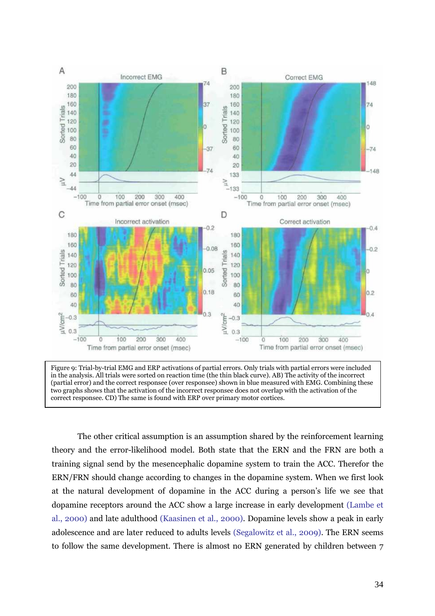

 (partial error) and the correct responsee (over responsee) shown in blue measured with EMG. Combining these Figure 9: Trial-by-trial EMG and ERP activations of partial errors. Only trials with partial errors were included in the analysis. All trials were sorted on reaction time (the thin black curve). AB) The activity of the incorrect two graphs shows that the activation of the incorrect responsee does not overlap with the activation of the correct responsee. CD) The same is found with ERP over primary motor cortices.

 The other critical assumption is an assumption shared by the reinforcement learning theory and the error-likelihood model. Both state that the ERN and the FRN are both a training signal send by the mesencephalic dopamine system to train the ACC. Therefor the ERN/FRN should change according to changes in the dopamine system. When we first look at the natural development of dopamine in the ACC during a person's life we see that dopamine receptors around the ACC show a large increase in early development (Lambe et al., 2000) and late adulthood (Kaasinen et al., 2000). Dopamine levels show a peak in early adolescence and are later reduced to adults levels (Segalowitz et al., 2009). The ERN seems to follow the same development. There is almost no ERN generated by children between 7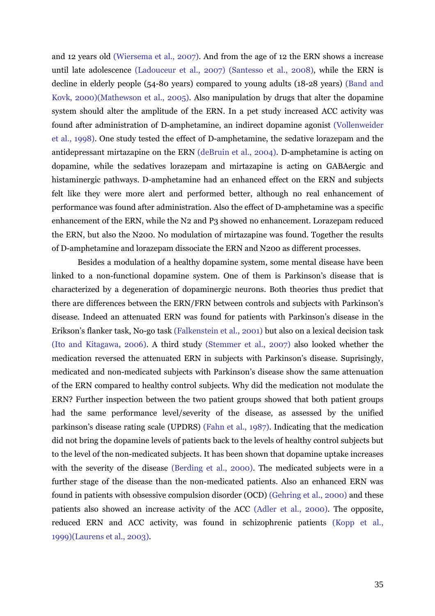and 12 years old (Wiersema et al., 2007). And from the age of 12 the ERN shows a increase until late adolescence (Ladouceur et al., 2007) (Santesso et al., 2008), while the ERN is decline in elderly people (54-80 years) compared to young adults (18-28 years) (Band and Kovk, 2000)(Mathewson et al., 2005). Also manipulation by drugs that alter the dopamine system should alter the amplitude of the ERN. In a pet study increased ACC activity was found after administration of D-amphetamine, an indirect dopamine agonist (Vollenweider et al., 1998). One study tested the effect of D-amphetamine, the sedative lorazepam and the antidepressant mirtazapine on the ERN (deBruin et al., 2004). D-amphetamine is acting on dopamine, while the sedatives lorazepam and mirtazapine is acting on GABAergic and histaminergic pathways. D-amphetamine had an enhanced effect on the ERN and subjects felt like they were more alert and performed better, although no real enhancement of performance was found after administration. Also the effect of D-amphetamine was a specific enhancement of the ERN, while the N2 and P3 showed no enhancement. Lorazepam reduced the ERN, but also the N200. No modulation of mirtazapine was found. Together the results of D-amphetamine and lorazepam dissociate the ERN and N200 as different processes.

 Besides a modulation of a healthy dopamine system, some mental disease have been linked to a non-functional dopamine system. One of them is Parkinson's disease that is characterized by a degeneration of dopaminergic neurons. Both theories thus predict that there are differences between the ERN/FRN between controls and subjects with Parkinson's disease. Indeed an attenuated ERN was found for patients with Parkinson's disease in the Erikson's flanker task, No-go task (Falkenstein et al., 2001) but also on a lexical decision task (Ito and Kitagawa, 2006). A third study (Stemmer et al., 2007) also looked whether the medication reversed the attenuated ERN in subjects with Parkinson's disease. Suprisingly, medicated and non-medicated subjects with Parkinson's disease show the same attenuation of the ERN compared to healthy control subjects. Why did the medication not modulate the ERN? Further inspection between the two patient groups showed that both patient groups had the same performance level/severity of the disease, as assessed by the unified parkinson's disease rating scale (UPDRS) (Fahn et al., 1987). Indicating that the medication did not bring the dopamine levels of patients back to the levels of healthy control subjects but to the level of the non-medicated subjects. It has been shown that dopamine uptake increases with the severity of the disease (Berding et al., 2000). The medicated subjects were in a further stage of the disease than the non-medicated patients. Also an enhanced ERN was found in patients with obsessive compulsion disorder (OCD) (Gehring et al., 2000) and these patients also showed an increase activity of the ACC (Adler et al., 2000). The opposite, reduced ERN and ACC activity, was found in schizophrenic patients (Kopp et al., 1999)(Laurens et al., 2003).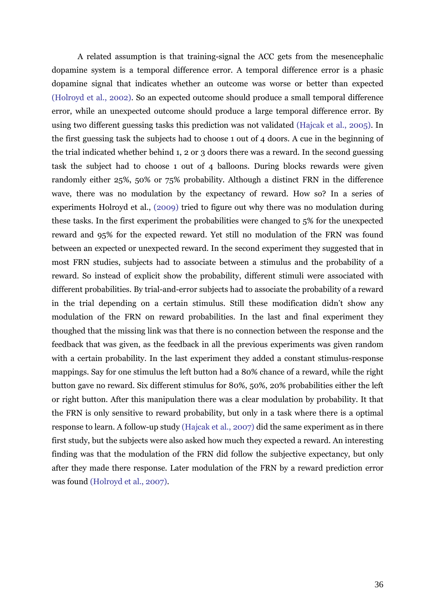A related assumption is that training-signal the ACC gets from the mesencephalic dopamine system is a temporal difference error. A temporal difference error is a phasic dopamine signal that indicates whether an outcome was worse or better than expected (Holroyd et al., 2002). So an expected outcome should produce a small temporal difference error, while an unexpected outcome should produce a large temporal difference error. By using two different guessing tasks this prediction was not validated (Hajcak et al., 2005). In the first guessing task the subjects had to choose 1 out of 4 doors. A cue in the beginning of the trial indicated whether behind 1, 2 or 3 doors there was a reward. In the second guessing task the subject had to choose 1 out of 4 balloons. During blocks rewards were given randomly either 25%, 50% or 75% probability. Although a distinct FRN in the difference wave, there was no modulation by the expectancy of reward. How so? In a series of experiments Holroyd et al., (2009) tried to figure out why there was no modulation during these tasks. In the first experiment the probabilities were changed to 5% for the unexpected reward and 95% for the expected reward. Yet still no modulation of the FRN was found between an expected or unexpected reward. In the second experiment they suggested that in most FRN studies, subjects had to associate between a stimulus and the probability of a reward. So instead of explicit show the probability, different stimuli were associated with different probabilities. By trial-and-error subjects had to associate the probability of a reward in the trial depending on a certain stimulus. Still these modification didn't show any modulation of the FRN on reward probabilities. In the last and final experiment they thoughed that the missing link was that there is no connection between the response and the feedback that was given, as the feedback in all the previous experiments was given random with a certain probability. In the last experiment they added a constant stimulus-response mappings. Say for one stimulus the left button had a 80% chance of a reward, while the right button gave no reward. Six different stimulus for 80%, 50%, 20% probabilities either the left or right button. After this manipulation there was a clear modulation by probability. It that the FRN is only sensitive to reward probability, but only in a task where there is a optimal response to learn. A follow-up study (Hajcak et al., 2007) did the same experiment as in there first study, but the subjects were also asked how much they expected a reward. An interesting finding was that the modulation of the FRN did follow the subjective expectancy, but only after they made there response. Later modulation of the FRN by a reward prediction error was found (Holroyd et al., 2007).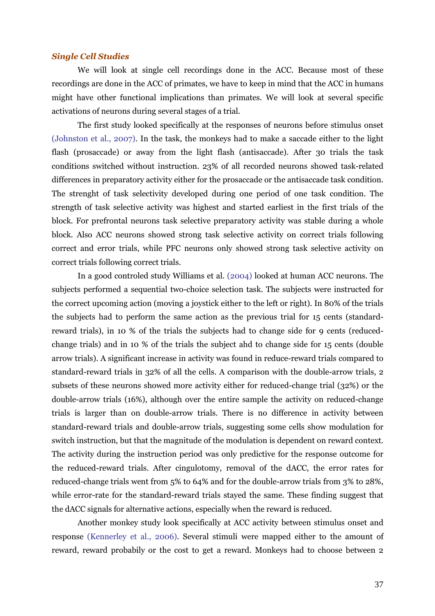#### *Single Cell Studies*

We will look at single cell recordings done in the ACC. Because most of these recordings are done in the ACC of primates, we have to keep in mind that the ACC in humans might have other functional implications than primates. We will look at several specific activations of neurons during several stages of a trial.

 The first study looked specifically at the responses of neurons before stimulus onset (Johnston et al., 2007). In the task, the monkeys had to make a saccade either to the light flash (prosaccade) or away from the light flash (antisaccade). After 30 trials the task conditions switched without instruction. 23% of all recorded neurons showed task-related differences in preparatory activity either for the prosaccade or the antisaccade task condition. The strenght of task selectivity developed during one period of one task condition. The strength of task selective activity was highest and started earliest in the first trials of the block. For prefrontal neurons task selective preparatory activity was stable during a whole block. Also ACC neurons showed strong task selective activity on correct trials following correct and error trials, while PFC neurons only showed strong task selective activity on correct trials following correct trials.

 In a good controled study Williams et al. (2004) looked at human ACC neurons. The subjects performed a sequential two-choice selection task. The subjects were instructed for the correct upcoming action (moving a joystick either to the left or right). In 80% of the trials the subjects had to perform the same action as the previous trial for 15 cents (standardreward trials), in 10 % of the trials the subjects had to change side for 9 cents (reducedchange trials) and in 10 % of the trials the subject ahd to change side for 15 cents (double arrow trials). A significant increase in activity was found in reduce-reward trials compared to standard-reward trials in 32% of all the cells. A comparison with the double-arrow trials, 2 subsets of these neurons showed more activity either for reduced-change trial (32%) or the double-arrow trials (16%), although over the entire sample the activity on reduced-change trials is larger than on double-arrow trials. There is no difference in activity between standard-reward trials and double-arrow trials, suggesting some cells show modulation for switch instruction, but that the magnitude of the modulation is dependent on reward context. The activity during the instruction period was only predictive for the response outcome for the reduced-reward trials. After cingulotomy, removal of the dACC, the error rates for reduced-change trials went from 5% to 64% and for the double-arrow trials from 3% to 28%, while error-rate for the standard-reward trials stayed the same. These finding suggest that the dACC signals for alternative actions, especially when the reward is reduced.

 Another monkey study look specifically at ACC activity between stimulus onset and response (Kennerley et al., 2006). Several stimuli were mapped either to the amount of reward, reward probabily or the cost to get a reward. Monkeys had to choose between 2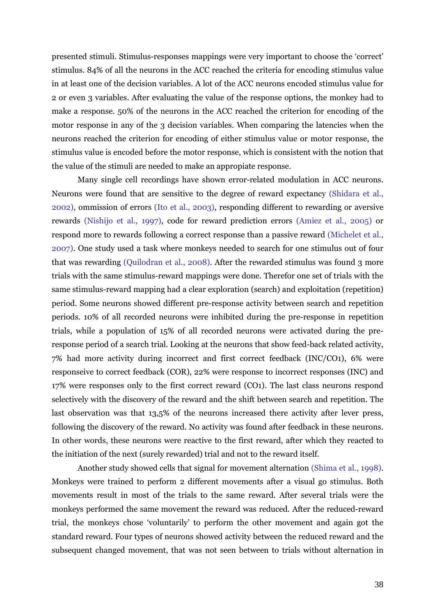presented stimuli. Stimulus-responses mappings were very important to choose the 'correct' stimulus. 84% of all the neurons in the ACC reached the criteria for encoding stimulus value in at least one of the decision variables. A lot of the ACC neurons encoded stimulus value for 2 or even 3 variables. After evaluating the value of the response options, the monkey had to make a response. 50% of the neurons in the ACC reached the criterion for encoding of the motor response in any of the 3 decision variables. When comparing the latencies when the neurons reached the criterion for encoding of either stimulus value or motor response, the stimulus value is encoded before the motor response, which is consistent with the notion that the value of the stimuli are needed to make an appropiate response.

 Many single cell recordings have shown error-related modulation in ACC neurons. Neurons were found that are sensitive to the degree of reward expectancy (Shidara et al., 2002), ommission of errors (Ito et al., 2003), responding different to rewarding or aversive rewards (Nishijo et al., 1997), code for reward prediction errors (Amiez et al., 2005) or respond more to rewards following a correct response than a passive reward (Michelet et al., 2007). One study used a task where monkeys needed to search for one stimulus out of four that was rewarding (Quilodran et al., 2008). After the rewarded stimulus was found 3 more trials with the same stimulus-reward mappings were done. Therefor one set of trials with the same stimulus-reward mapping had a clear exploration (search) and exploitation (repetition) period. Some neurons showed different pre-response activity between search and repetition periods. 10% of all recorded neurons were inhibited during the pre-response in repetition trials, while a population of 15% of all recorded neurons were activated during the preresponse period of a search trial. Looking at the neurons that show feed-back related activity, 7% had more activity during incorrect and first correct feedback (INC/CO1), 6% were responseive to correct feedback (COR), 22% were response to incorrect responses (INC) and 17% were responses only to the first correct reward (CO1). The last class neurons respond selectively with the discovery of the reward and the shift between search and repetition. The last observation was that 13,5% of the neurons increased there activity after lever press, following the discovery of the reward. No activity was found after feedback in these neurons. In other words, these neurons were reactive to the first reward, after which they reacted to the initiation of the next (surely rewarded) trial and not to the reward itself.

 Another study showed cells that signal for movement alternation (Shima et al., 1998). Monkeys were trained to perform 2 different movements after a visual go stimulus. Both movements result in most of the trials to the same reward. After several trials were the monkeys performed the same movement the reward was reduced. After the reduced-reward trial, the monkeys chose 'voluntarily' to perform the other movement and again got the standard reward. Four types of neurons showed activity between the reduced reward and the subsequent changed movement, that was not seen between to trials without alternation in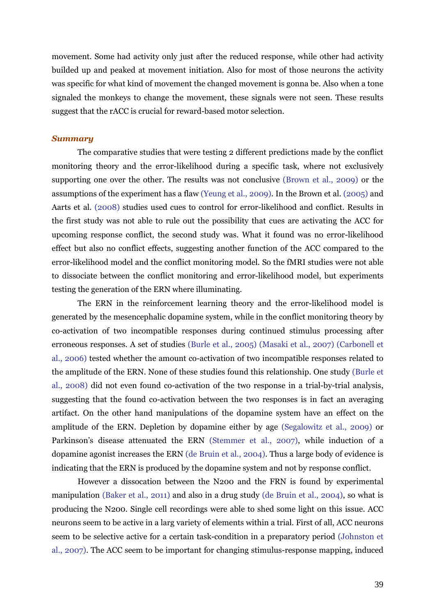movement. Some had activity only just after the reduced response, while other had activity builded up and peaked at movement initiation. Also for most of those neurons the activity was specific for what kind of movement the changed movement is gonna be. Also when a tone signaled the monkeys to change the movement, these signals were not seen. These results suggest that the rACC is crucial for reward-based motor selection.

#### *Summary*

 The comparative studies that were testing 2 different predictions made by the conflict monitoring theory and the error-likelihood during a specific task, where not exclusively supporting one over the other. The results was not conclusive (Brown et al., 2009) or the assumptions of the experiment has a flaw (Yeung et al., 2009). In the Brown et al. (2005) and Aarts et al. (2008) studies used cues to control for error-likelihood and conflict. Results in the first study was not able to rule out the possibility that cues are activating the ACC for upcoming response conflict, the second study was. What it found was no error-likelihood effect but also no conflict effects, suggesting another function of the ACC compared to the error-likelihood model and the conflict monitoring model. So the fMRI studies were not able to dissociate between the conflict monitoring and error-likelihood model, but experiments testing the generation of the ERN where illuminating.

 The ERN in the reinforcement learning theory and the error-likelihood model is generated by the mesencephalic dopamine system, while in the conflict monitoring theory by co-activation of two incompatible responses during continued stimulus processing after erroneous responses. A set of studies (Burle et al., 2005) (Masaki et al., 2007) (Carbonell et al., 2006) tested whether the amount co-activation of two incompatible responses related to the amplitude of the ERN. None of these studies found this relationship. One study (Burle et al., 2008) did not even found co-activation of the two response in a trial-by-trial analysis, suggesting that the found co-activation between the two responses is in fact an averaging artifact. On the other hand manipulations of the dopamine system have an effect on the amplitude of the ERN. Depletion by dopamine either by age (Segalowitz et al., 2009) or Parkinson's disease attenuated the ERN (Stemmer et al., 2007), while induction of a dopamine agonist increases the ERN (de Bruin et al., 2004). Thus a large body of evidence is indicating that the ERN is produced by the dopamine system and not by response conflict.

 However a dissocation between the N200 and the FRN is found by experimental manipulation (Baker et al., 2011) and also in a drug study (de Bruin et al., 2004), so what is producing the N200. Single cell recordings were able to shed some light on this issue. ACC neurons seem to be active in a larg variety of elements within a trial. First of all, ACC neurons seem to be selective active for a certain task-condition in a preparatory period (Johnston et al., 2007). The ACC seem to be important for changing stimulus-response mapping, induced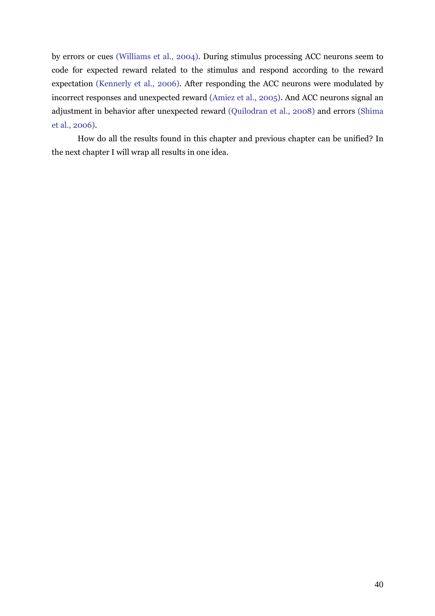by errors or cues (Williams et al., 2004). During stimulus processing ACC neurons seem to code for expected reward related to the stimulus and respond according to the reward expectation (Kennerly et al., 2006). After responding the ACC neurons were modulated by incorrect responses and unexpected reward (Amiez et al., 2005). And ACC neurons signal an adjustment in behavior after unexpected reward (Quilodran et al., 2008) and errors (Shima et al., 2006).

 How do all the results found in this chapter and previous chapter can be unified? In the next chapter I will wrap all results in one idea.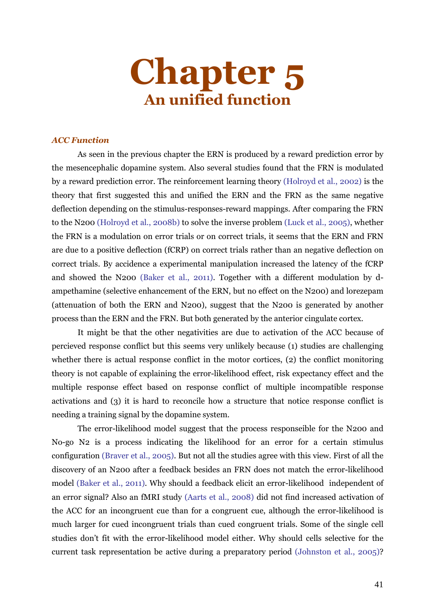

#### *ACC Function*

 As seen in the previous chapter the ERN is produced by a reward prediction error by the mesencephalic dopamine system. Also several studies found that the FRN is modulated by a reward prediction error. The reinforcement learning theory (Holroyd et al., 2002) is the theory that first suggested this and unified the ERN and the FRN as the same negative deflection depending on the stimulus-responses-reward mappings. After comparing the FRN to the N200 (Holroyd et al., 2008b) to solve the inverse problem (Luck et al., 2005), whether the FRN is a modulation on error trials or on correct trials, it seems that the ERN and FRN are due to a positive deflection (fCRP) on correct trials rather than an negative deflection on correct trials. By accidence a experimental manipulation increased the latency of the fCRP and showed the N200 (Baker et al., 2011). Together with a different modulation by dampethamine (selective enhancement of the ERN, but no effect on the N200) and lorezepam (attenuation of both the ERN and N200), suggest that the N200 is generated by another process than the ERN and the FRN. But both generated by the anterior cingulate cortex.

 It might be that the other negativities are due to activation of the ACC because of percieved response conflict but this seems very unlikely because (1) studies are challenging whether there is actual response conflict in the motor cortices, (2) the conflict monitoring theory is not capable of explaining the error-likelihood effect, risk expectancy effect and the multiple response effect based on response conflict of multiple incompatible response activations and (3) it is hard to reconcile how a structure that notice response conflict is needing a training signal by the dopamine system.

 The error-likelihood model suggest that the process responseible for the N200 and No-go N2 is a process indicating the likelihood for an error for a certain stimulus configuration (Braver et al., 2005). But not all the studies agree with this view. First of all the discovery of an N200 after a feedback besides an FRN does not match the error-likelihood model (Baker et al., 2011). Why should a feedback elicit an error-likelihood independent of an error signal? Also an fMRI study (Aarts et al., 2008) did not find increased activation of the ACC for an incongruent cue than for a congruent cue, although the error-likelihood is much larger for cued incongruent trials than cued congruent trials. Some of the single cell studies don't fit with the error-likelihood model either. Why should cells selective for the current task representation be active during a preparatory period (Johnston et al., 2005)?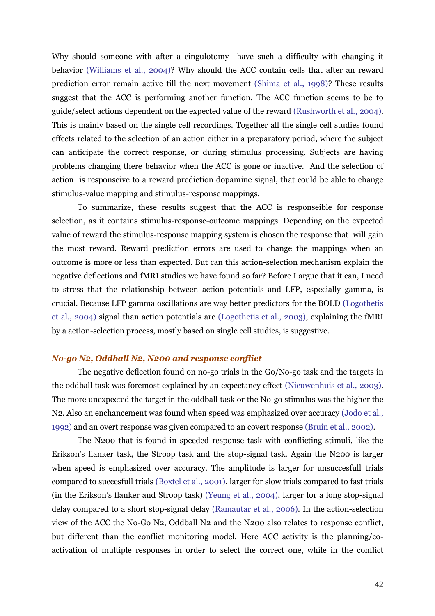Why should someone with after a cingulotomy have such a difficulty with changing it behavior (Williams et al., 2004)? Why should the ACC contain cells that after an reward prediction error remain active till the next movement (Shima et al., 1998)? These results suggest that the ACC is performing another function. The ACC function seems to be to guide/select actions dependent on the expected value of the reward (Rushworth et al., 2004). This is mainly based on the single cell recordings. Together all the single cell studies found effects related to the selection of an action either in a preparatory period, where the subject can anticipate the correct response, or during stimulus processing. Subjects are having problems changing there behavior when the ACC is gone or inactive. And the selection of action is responseive to a reward prediction dopamine signal, that could be able to change stimulus-value mapping and stimulus-response mappings.

 To summarize, these results suggest that the ACC is responseible for response selection, as it contains stimulus-response-outcome mappings. Depending on the expected value of reward the stimulus-response mapping system is chosen the response that will gain the most reward. Reward prediction errors are used to change the mappings when an outcome is more or less than expected. But can this action-selection mechanism explain the negative deflections and fMRI studies we have found so far? Before I argue that it can, I need to stress that the relationship between action potentials and LFP, especially gamma, is crucial. Because LFP gamma oscillations are way better predictors for the BOLD (Logothetis et al., 2004) signal than action potentials are (Logothetis et al., 2003), explaining the fMRI by a action-selection process, mostly based on single cell studies, is suggestive.

#### *No-go N2, Oddball N2, N200 and response conflict*

The negative deflection found on no-go trials in the Go/No-go task and the targets in the oddball task was foremost explained by an expectancy effect (Nieuwenhuis et al., 2003). The more unexpected the target in the oddball task or the No-go stimulus was the higher the N2. Also an enchancement was found when speed was emphasized over accuracy (Jodo et al., 1992) and an overt response was given compared to an covert response (Bruin et al., 2002).

 The N200 that is found in speeded response task with conflicting stimuli, like the Erikson's flanker task, the Stroop task and the stop-signal task. Again the N200 is larger when speed is emphasized over accuracy. The amplitude is larger for unsuccesfull trials compared to succesfull trials (Boxtel et al., 2001), larger for slow trials compared to fast trials (in the Erikson's flanker and Stroop task) (Yeung et al., 2004), larger for a long stop-signal delay compared to a short stop-signal delay (Ramautar et al., 2006). In the action-selection view of the ACC the No-Go N2, Oddball N2 and the N200 also relates to response conflict, but different than the conflict monitoring model. Here ACC activity is the planning/coactivation of multiple responses in order to select the correct one, while in the conflict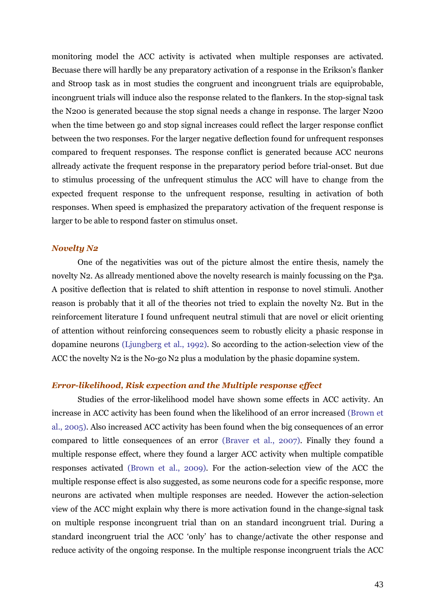monitoring model the ACC activity is activated when multiple responses are activated. Becuase there will hardly be any preparatory activation of a response in the Erikson's flanker and Stroop task as in most studies the congruent and incongruent trials are equiprobable, incongruent trials will induce also the response related to the flankers. In the stop-signal task the N200 is generated because the stop signal needs a change in response. The larger N200 when the time between go and stop signal increases could reflect the larger response conflict between the two responses. For the larger negative deflection found for unfrequent responses compared to frequent responses. The response conflict is generated because ACC neurons allready activate the frequent response in the preparatory period before trial-onset. But due to stimulus processing of the unfrequent stimulus the ACC will have to change from the expected frequent response to the unfrequent response, resulting in activation of both responses. When speed is emphasized the preparatory activation of the frequent response is larger to be able to respond faster on stimulus onset.

#### *Novelty N2*

One of the negativities was out of the picture almost the entire thesis, namely the novelty N2. As allready mentioned above the novelty research is mainly focussing on the P3a. A positive deflection that is related to shift attention in response to novel stimuli. Another reason is probably that it all of the theories not tried to explain the novelty N2. But in the reinforcement literature I found unfrequent neutral stimuli that are novel or elicit orienting of attention without reinforcing consequences seem to robustly elicity a phasic response in dopamine neurons (Ljungberg et al., 1992). So according to the action-selection view of the ACC the novelty N2 is the No-go N2 plus a modulation by the phasic dopamine system.

#### *Error-likelihood, Risk expection and the Multiple response effect*

Studies of the error-likelihood model have shown some effects in ACC activity. An increase in ACC activity has been found when the likelihood of an error increased (Brown et al., 2005). Also increased ACC activity has been found when the big consequences of an error compared to little consequences of an error (Braver et al., 2007). Finally they found a multiple response effect, where they found a larger ACC activity when multiple compatible responses activated (Brown et al., 2009). For the action-selection view of the ACC the multiple response effect is also suggested, as some neurons code for a specific response, more neurons are activated when multiple responses are needed. However the action-selection view of the ACC might explain why there is more activation found in the change-signal task on multiple response incongruent trial than on an standard incongruent trial. During a standard incongruent trial the ACC 'only' has to change/activate the other response and reduce activity of the ongoing response. In the multiple response incongruent trials the ACC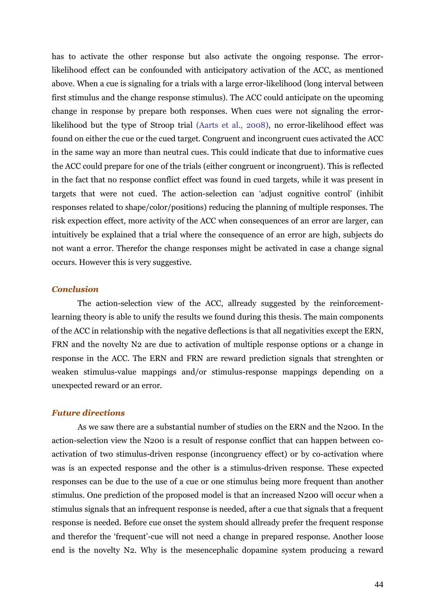has to activate the other response but also activate the ongoing response. The errorlikelihood effect can be confounded with anticipatory activation of the ACC, as mentioned above. When a cue is signaling for a trials with a large error-likelihood (long interval between first stimulus and the change response stimulus). The ACC could anticipate on the upcoming change in response by prepare both responses. When cues were not signaling the errorlikelihood but the type of Stroop trial (Aarts et al., 2008), no error-likelihood effect was found on either the cue or the cued target. Congruent and incongruent cues activated the ACC in the same way an more than neutral cues. This could indicate that due to informative cues the ACC could prepare for one of the trials (either congruent or incongruent). This is reflected in the fact that no response conflict effect was found in cued targets, while it was present in targets that were not cued. The action-selection can 'adjust cognitive control' (inhibit responses related to shape/color/positions) reducing the planning of multiple responses. The risk expection effect, more activity of the ACC when consequences of an error are larger, can intuitively be explained that a trial where the consequence of an error are high, subjects do not want a error. Therefor the change responses might be activated in case a change signal occurs. However this is very suggestive.

#### *Conclusion*

The action-selection view of the ACC, allready suggested by the reinforcementlearning theory is able to unify the results we found during this thesis. The main components of the ACC in relationship with the negative deflections is that all negativities except the ERN, FRN and the novelty N2 are due to activation of multiple response options or a change in response in the ACC. The ERN and FRN are reward prediction signals that strenghten or weaken stimulus-value mappings and/or stimulus-response mappings depending on a unexpected reward or an error.

#### *Future directions*

As we saw there are a substantial number of studies on the ERN and the N200. In the action-selection view the N200 is a result of response conflict that can happen between coactivation of two stimulus-driven response (incongruency effect) or by co-activation where was is an expected response and the other is a stimulus-driven response. These expected responses can be due to the use of a cue or one stimulus being more frequent than another stimulus. One prediction of the proposed model is that an increased N200 will occur when a stimulus signals that an infrequent response is needed, after a cue that signals that a frequent response is needed. Before cue onset the system should allready prefer the frequent response and therefor the 'frequent'-cue will not need a change in prepared response. Another loose end is the novelty N2. Why is the mesencephalic dopamine system producing a reward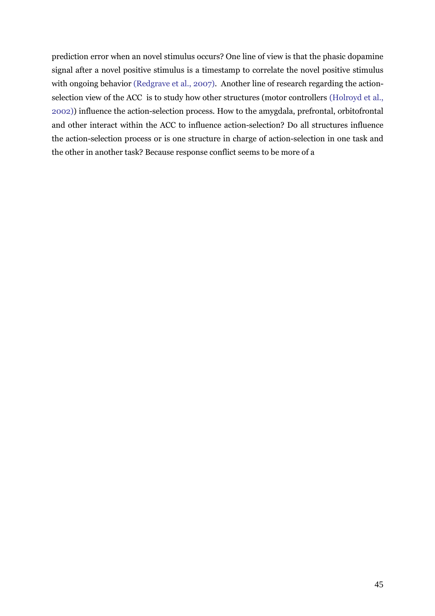prediction error when an novel stimulus occurs? One line of view is that the phasic dopamine signal after a novel positive stimulus is a timestamp to correlate the novel positive stimulus with ongoing behavior (Redgrave et al., 2007). Another line of research regarding the actionselection view of the ACC is to study how other structures (motor controllers (Holroyd et al., 2002)) influence the action-selection process. How to the amygdala, prefrontal, orbitofrontal and other interact within the ACC to influence action-selection? Do all structures influence the action-selection process or is one structure in charge of action-selection in one task and the other in another task? Because response conflict seems to be more of a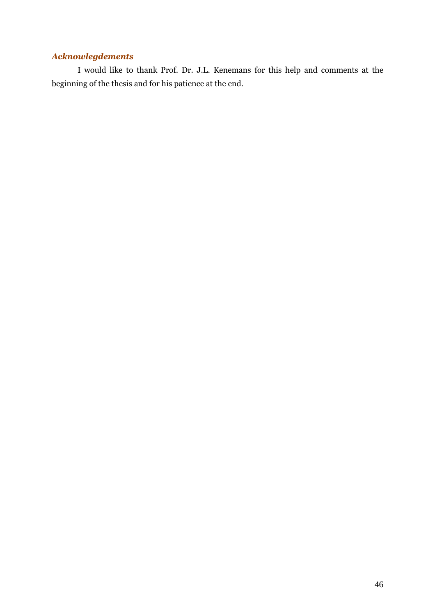### *Acknowlegdements*

 I would like to thank Prof. Dr. J.L. Kenemans for this help and comments at the beginning of the thesis and for his patience at the end.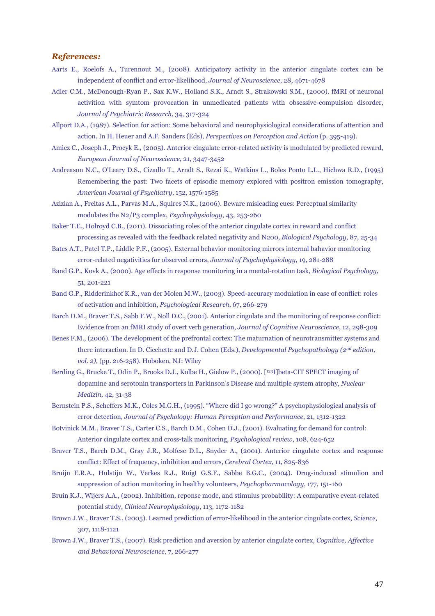#### *References:*

- Aarts E., Roelofs A., Turennout M., (2008). Anticipatory activity in the anterior cingulate cortex can be independent of conflict and error-likelihood, *Journal of Neuroscience*, 28, 4671-4678
- Adler C.M., McDonough-Ryan P., Sax K.W., Holland S.K., Arndt S., Strakowski S.M., (2000). fMRI of neuronal activition with symtom provocation in unmedicated patients with obsessive-compulsion disorder, *Journal of Psychiatric Research*, 34, 317-324
- Allport D.A., (1987). Selection for action: Some behavioral and neurophysiological considerations of attention and action. In H. Heuer and A.F. Sanders (Eds), *Perspectives on Perception and Action* (p. 395-419).
- Amiez C., Joseph J., Procyk E., (2005). Anterior cingulate error-related activity is modulated by predicted reward, *European Journal of Neuroscience*, 21, 3447-3452
- Andreason N.C., O'Leary D.S., Cizadlo T., Arndt S., Rezai K., Watkins L., Boles Ponto L.L., Hichwa R.D., (1995) Remembering the past: Two facets of episodic memory explored with positron emission tomography, *American Journal of Psychiatry*, 152, 1576-1585
- Azizian A., Freitas A.L., Parvas M.A., Squires N.K., (2006). Beware misleading cues: Perceptual similarity modulates the N2/P3 complex, *Psychophysiology*, 43, 253-260
- Baker T.E., Holroyd C.B., (2011). Dissociating roles of the anterior cingulate cortex in reward and conflict processing as revealed with the feedback related negativity and N200, *Biological Psychology*, 87, 25-34
- Bates A.T., Patel T.P., Liddle P.F., (2005). External behavior monitoring mirrors internal bahavior monitoring error-related negativities for observed errors, *Journal of Psychophysiology*, 19, 281-288
- Band G.P., Kovk A., (2000). Age effects in response monitoring in a mental-rotation task, *Biological Psychology*, 51, 201-221
- Band G.P., Ridderinkhof K.R., van der Molen M.W., (2003). Speed-accuracy modulation in case of conflict: roles of activation and inhibition, *Psychological Research*, 67, 266-279
- Barch D.M., Braver T.S., Sabb F.W., Noll D.C., (2001). Anterior cingulate and the monitoring of response conflict: Evidence from an fMRI study of overt verb generation, *Journal of Cognitive Neuroscience*, 12, 298-309
- Benes F.M., (2006). The development of the prefrontal cortex: The maturnation of neurotransmitter systems and there interaction. In D. Cicchette and D.J. Cohen (Eds.), *Developmental Psychopathology (2nd edition, vol. 2),* (pp. 216-258). Hoboken, NJ: Wiley
- Berding G., Brucke T., Odin P., Brooks D.J., Kolbe H., Gielow P., (2000). [<sup>123</sup>I]beta-CIT SPECT imaging of dopamine and serotonin transporters in Parkinson's Disease and multiple system atrophy, *Nuclear Medizin*, 42, 31-38
- Bernstein P.S., Scheffers M.K., Coles M.G.H., (1995). "Where did I go wrong?" A psychophysiological analysis of error detection, *Journal of Psychology: Human Perception and Performance*, 21, 1312-1322
- Botvinick M.M., Braver T.S., Carter C.S., Barch D.M., Cohen D.J., (2001). Evaluating for demand for control: Anterior cingulate cortex and cross-talk monitoring, *Psychological review*, 108, 624-652
- Braver T.S., Barch D.M., Gray J.R., Molfese D.L., Snyder A., (2001). Anterior cingulate cortex and response conflict: Effect of frequency, inhibition and errors, *Cerebral Cortex*, 11, 825-836
- Bruijn E.R.A., Hulstijn W., Verkes R.J., Ruigt G.S.F., Sabbe B.G.C., (2004). Drug-induced stimulion and suppression of action monitoring in healthy volunteers, *Psychopharmacology*, 177, 151-160
- Bruin K.J., Wijers A.A., (2002). Inhibition, reponse mode, and stimulus probability: A comparative event-related potential study, *Clinical Neurophysiology*, 113, 1172-1182
- Brown J.W., Braver T.S., (2005). Learned prediction of error-likelihood in the anterior cingulate cortex, *Science*, 307, 1118-1121
- Brown J.W., Braver T.S., (2007). Risk prediction and aversion by anterior cingulate cortex, *Cognitive, Affective and Behavioral Neuroscience*, 7, 266-277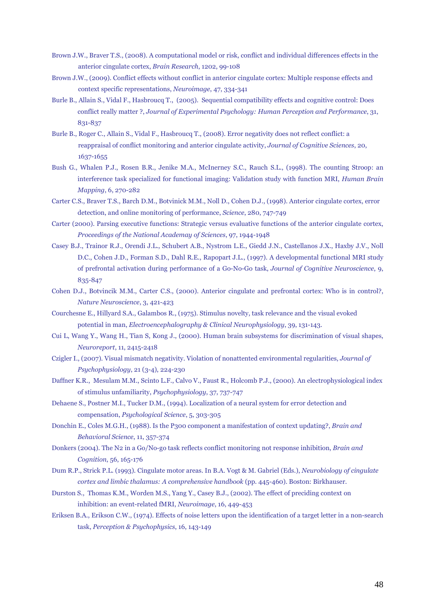- Brown J.W., Braver T.S., (2008). A computational model or risk, conflict and individual differences effects in the anterior cingulate cortex, *Brain Research*, 1202, 99-108
- Brown J.W., (2009). Conflict effects without conflict in anterior cingulate cortex: Multiple response effects and context specific representations, *Neuroimage*, 47, 334-341
- Burle B., Allain S., Vidal F., Hasbroucq T., (2005). Sequential compatibility effects and cognitive control: Does conflict really matter ?, *Journal of Experimental Psychology: Human Perception and Performance*, 31, 831-837
- Burle B., Roger C., Allain S., Vidal F., Hasbroucq T., (2008). Error negativity does not reflect conflict: a reappraisal of conflict monitoring and anterior cingulate activity, *Journal of Cognitive Sciences*, 20, 1637-1655
- Bush G., Whalen P.J., Rosen B.R., Jenike M.A., McInerney S.C., Rauch S.L., (1998). The counting Stroop: an interference task specialized for functional imaging: Validation study with function MRI, *Human Brain Mapping*, 6, 270-282
- Carter C.S., Braver T.S., Barch D.M., Botvinick M.M., Noll D., Cohen D.J., (1998). Anterior cingulate cortex, error detection, and online monitoring of performance, *Science*, 280, 747-749
- Carter (2000). Parsing executive functions: Strategic versus evaluative functions of the anterior cingulate cortex, *Proceedings of the National Academay of Sciences*, 97, 1944-1948
- Casey B.J., Trainor R.J., Orendi J.L., Schubert A.B., Nystrom L.E., Giedd J.N., Castellanos J.X., Haxby J.V., Noll D.C., Cohen J.D., Forman S.D., Dahl R.E., Rapopart J.L., (1997). A developmental functional MRI study of prefrontal activation during performance of a Go-No-Go task, *Journal of Cognitive Neuroscience*, 9, 835-847
- Cohen D.J., Botvincik M.M., Carter C.S., (2000). Anterior cingulate and prefrontal cortex: Who is in control?, *Nature Neuroscience*, 3, 421-423
- Courchesne E., Hillyard S.A., Galambos R., (1975). Stimulus novelty, task relevance and the visual evoked potential in man, *Electroencephalography & Clinical Neurophysiology*, 39, 131-143.
- Cui L, Wang Y., Wang H., Tian S, Kong J., (2000). Human brain subsystems for discrimination of visual shapes, *Neuroreport*, 11, 2415-2418
- Czigler I., (2007). Visual mismatch negativity. Violation of nonattented environmental regularities, *Journal of Psychophysiology*, 21 (3-4), 224-230
- Daffner K.R., Mesulam M.M., Scinto L.F., Calvo V., Faust R., Holcomb P.J., (2000). An electrophysiological index of stimulus unfamiliarity, *Psychophysiology*, 37, 737-747
- Dehaene S., Postner M.I., Tucker D.M., (1994). Localization of a neural system for error detection and compensation, *Psychological Science*, 5, 303-305
- Donchin E., Coles M.G.H., (1988). Is the P300 component a manifestation of context updating?, *Brain and Behavioral Science*, 11, 357-374
- Donkers (2004). The N2 in a Go/No-go task reflects conflict monitoring not response inhibition, *Brain and Cognition*, 56, 165-176
- Dum R.P., Strick P.L. (1993). Cingulate motor areas. In B.A. Vogt & M. Gabriel (Eds.), *Neurobiology of cingulate cortex and limbic thalamus: A comprehensive handbook* (pp. 445-460). Boston: Birkhauser.
- Durston S., Thomas K.M., Worden M.S., Yang Y., Casey B.J., (2002). The effect of preciding context on inhibition: an event-related fMRI, *Neuroimage*, 16, 449-453
- Eriksen B.A., Erikson C.W., (1974). Effects of noise letters upon the identification of a target letter in a non-search task, *Perception & Psychophysics*, 16, 143-149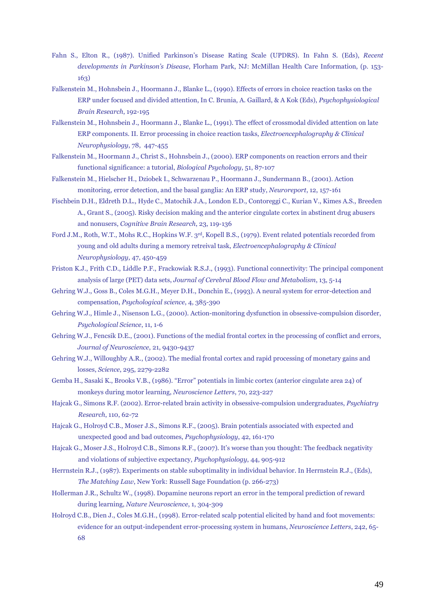- Fahn S., Elton R., (1987). Unified Parkinson's Disease Rating Scale (UPDRS). In Fahn S. (Eds), *Recent developments in Parkinson's Disease*, Florham Park, NJ: McMillan Health Care Information, (p. 153- 163)
- Falkenstein M., Hohnsbein J., Hoormann J., Blanke L., (1990). Effects of errors in choice reaction tasks on the ERP under focused and divided attention, In C. Brunia, A. Gaillard, & A Kok (Eds), *Psychophysiological Brain Research*, 192-195
- Falkenstein M., Hohnsbein J., Hoormann J., Blanke L., (1991). The effect of crossmodal divided attention on late ERP components. II. Error processing in choice reaction tasks, *Electroencephalography & Clinical Neurophysiology*, 78, 447-455
- Falkenstein M., Hoormann J., Christ S., Hohnsbein J., (2000). ERP components on reaction errors and their functional significance: a tutorial, *Biological Psychology*, 51, 87-107
- Falkenstein M., Hielscher H., Dziobek I., Schwarzenau P., Hoormann J., Sundermann B., (2001). Action monitoring, error detection, and the basal ganglia: An ERP study, *Neuroreport*, 12, 157-161
- Fischbein D.H., Eldreth D.L., Hyde C., Matochik J.A., London E.D., Contoreggi C., Kurian V., Kimes A.S., Breeden A., Grant S., (2005). Risky decision making and the anterior cingulate cortex in abstinent drug abusers and nonusers, *Cognitive Brain Research*, 23, 119-136
- Ford J.M., Roth, W.T., Mohs R.C., Hopkins W.F. 3rd, Kopell B.S., (1979). Event related potentials recorded from young and old adults during a memory retreival task, *Electroencephalography & Clinical Neurophysiology*, 47, 450-459
- Friston K.J., Frith C.D., Liddle P.F., Frackowiak R.S.J., (1993). Functional connectivity: The principal component analysis of large (PET) data sets, *Journal of Cerebral Blood Flow and Metabolism*, 13, 5-14
- Gehring W.J., Goss B., Coles M.G.H., Meyer D.H., Donchin E., (1993). A neural system for error-detection and compensation, *Psychological science*, 4, 385-390
- Gehring W.J., Himle J., Nisenson L.G., (2000). Action-monitoring dysfunction in obsessive-compulsion disorder, *Psychological Science*, 11, 1-6
- Gehring W.J., Fencsik D.E., (2001). Functions of the medial frontal cortex in the processing of conflict and errors, *Journal of Neuroscience*, 21, 9430-9437
- Gehring W.J., Willoughby A.R., (2002). The medial frontal cortex and rapid processing of monetary gains and losses, *Science*, 295, 2279-2282
- Gemba H., Sasaki K., Brooks V.B., (1986). "Error" potentials in limbic cortex (anterior cingulate area 24) of monkeys during motor learning, *Neuroscience Letters*, 70, 223-227
- Hajcak G., Simons R.F. (2002). Error-related brain activity in obsessive-compulsion undergraduates, *Psychiatry Research*, 110, 62-72
- Hajcak G., Holroyd C.B., Moser J.S., Simons R.F., (2005). Brain potentials associated with expected and unexpected good and bad outcomes, *Psychophysiology*, 42, 161-170
- Hajcak G., Moser J.S., Holroyd C.B., Simons R.F., (2007). It's worse than you thought: The feedback negativity and violations of subjective expectancy, *Psychophysiology*, 44, 905-912
- Herrnstein R.J., (1987). Experiments on stable suboptimality in individual behavior. In Herrnstein R.J., (Eds), *The Matching Law*, New York: Russell Sage Foundation (p. 266-273)
- Hollerman J.R., Schultz W., (1998). Dopamine neurons report an error in the temporal prediction of reward during learning, *Nature Neuroscience*, 1, 304-309
- Holroyd C.B., Dien J., Coles M.G.H., (1998). Error-related scalp potential elicited by hand and foot movements: evidence for an output-independent error-processing system in humans, *Neuroscience Letters*, 242, 65- 68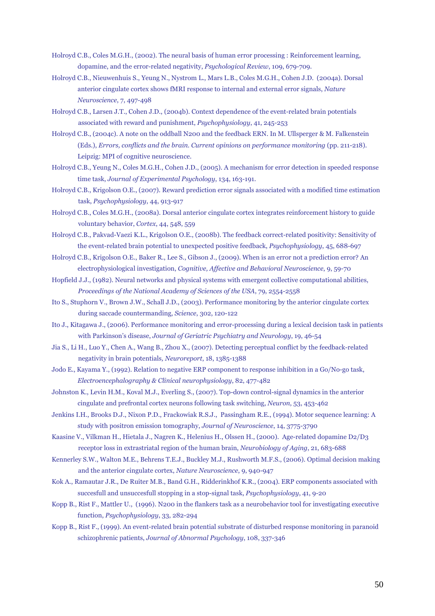- Holroyd C.B., Coles M.G.H., (2002). The neural basis of human error processing : Reinforcement learning, dopamine, and the error-related negativity, *Psychological Review*, 109, 679-709.
- Holroyd C.B., Nieuwenhuis S., Yeung N., Nystrom L., Mars L.B., Coles M.G.H., Cohen J.D. (2004a). Dorsal anterior cingulate cortex shows fMRI response to internal and external error signals, *Nature Neuroscience*, 7, 497-498
- Holroyd C.B., Larsen J.T., Cohen J.D., (2004b). Context dependence of the event-related brain potentials associated with reward and punishment, *Psychophysiology*, 41, 245-253
- Holroyd C.B., (2004c). A note on the oddball N200 and the feedback ERN. In M. Ullsperger & M. Falkenstein (Eds.), *Errors, conflicts and the brain. Current opinions on performance monitoring* (pp. 211-218). Leipzig: MPI of cognitive neuroscience.
- Holroyd C.B., Yeung N., Coles M.G.H., Cohen J.D., (2005). A mechanism for error detection in speeded response time task, *Journal of Experimental Psychology*, 134, 163-191.
- Holroyd C.B., Krigolson O.E., (2007). Reward prediction error signals associated with a modified time estimation task, *Psychophysiology*, 44, 913-917
- Holroyd C.B., Coles M.G.H., (2008a). Dorsal anterior cingulate cortex integrates reinforcement history to guide voluntary behavior, *Cortex*, 44, 548, 559
- Holroyd C.B., Pakvad-Vaezi K.L., Krigolson O.E., (2008b). The feedback correct-related positivity: Sensitivity of the event-related brain potential to unexpected positive feedback, *Psychophysiology*, 45, 688-697
- Holroyd C.B., Krigolson O.E., Baker R., Lee S., Gibson J., (2009). When is an error not a prediction error? An electrophysiological investigation, *Cognitive, Affective and Behavioral Neuroscience*, 9, 59-70
- Hopfield J.J., (1982). Neural networks and physical systems with emergent collective computational abilities, *Proceedings of the National Academy of Sciences of the USA*, 79, 2554-2558
- Ito S., Stuphorn V., Brown J.W., Schall J.D., (2003). Performance monitoring by the anterior cingulate cortex during saccade countermanding, *Science*, 302, 120-122
- Ito J., Kitagawa J., (2006). Performance monitoring and error-processing during a lexical decision task in patients with Parkinson's disease, *Journal of Geriatric Psychiatry and Neurology*, 19, 46-54
- Jia S., Li H., Luo Y., Chen A., Wang B., Zhou X., (2007). Detecting perceptual conflict by the feedback-related negativity in brain potentials*, Neuroreport*, 18, 1385-1388
- Jodo E., Kayama Y., (1992). Relation to negative ERP component to response inhibition in a Go/No-go task, *Electroencephalography & Clinical neurophysiology*, 82, 477-482
- Johnston K., Levin H.M., Koval M.J., Everling S., (2007). Top-down control-signal dynamics in the anterior cingulate and prefrontal cortex neurons following task switching, *Neuron*, 53, 453-462
- Jenkins I.H., Brooks D.J., Nixon P.D., Frackowiak R.S.J., Passingham R.E., (1994). Motor sequence learning: A study with positron emission tomography, *Journal of Neuroscience*, 14, 3775-3790
- Kaasine V., Vilkman H., Hietala J., Nagren K., Helenius H., Olssen H., (2000). Age-related dopamine D2/D3 receptor loss in extrastriatal region of the human brain, *Neurobiology of Aging*, 21, 683-688
- Kennerley S.W., Walton M.E., Behrens T.E.J., Buckley M.J., Rushworth M.F.S., (2006). Optimal decision making and the anterior cingulate cortex, *Nature Neuroscience*, 9, 940-947
- Kok A., Ramautar J.R., De Ruiter M.B., Band G.H., Ridderinkhof K.R., (2004). ERP components associated with succesfull and unsuccesfull stopping in a stop-signal task, *Psychophysiology*, 41, 9-20
- Kopp B., Rist F., Mattler U., (1996). N200 in the flankers task as a neurobehavior tool for investigating executive function, *Psychophysiology*, 33, 282-294
- Kopp B., Rist F., (1999). An event-related brain potential substrate of disturbed response monitoring in paranoid schizophrenic patients, *Journal of Abnormal Psychology*, 108, 337-346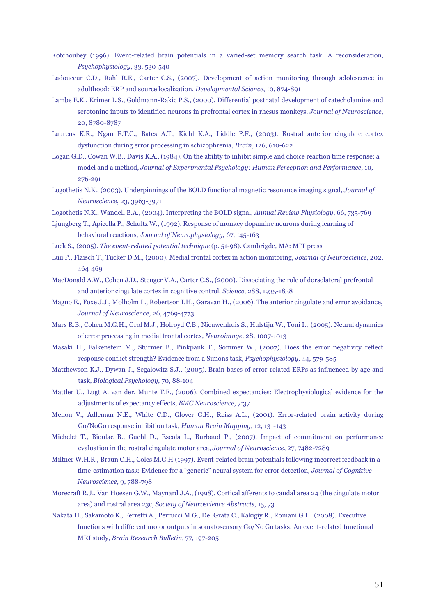- Kotchoubey (1996). Event-related brain potentials in a varied-set memory search task: A reconsideration, *Psychophysiology*, 33, 530-540
- Ladouceur C.D., Rahl R.E., Carter C.S., (2007). Development of action monitoring through adolescence in adulthood: ERP and source localization, *Developmental Science*, 10, 874-891
- Lambe E.K., Krimer L.S., Goldmann-Rakic P.S., (2000). Differential postnatal development of catecholamine and serotonine inputs to identified neurons in prefrontal cortex in rhesus monkeys, *Journal of Neuroscience*, 20, 8780-8787
- Laurens K.R., Ngan E.T.C., Bates A.T., Kiehl K.A., Liddle P.F., (2003). Rostral anterior cingulate cortex dysfunction during error processing in schizophrenia, *Brain*, 126, 610-622
- Logan G.D., Cowan W.B., Davis K.A., (1984). On the ability to inhibit simple and choice reaction time response: a model and a method, *Journal of Experimental Psychology: Human Perception and Performance*, 10, 276-291
- Logothetis N.K., (2003). Underpinnings of the BOLD functional magnetic resonance imaging signal, *Journal of Neuroscience*, 23, 3963-3971
- Logothetis N.K., Wandell B.A., (2004). Interpreting the BOLD signal, *Annual Review Physiology*, 66, 735-769
- Ljungberg T., Apicella P., Schultz W., (1992). Response of monkey dopamine neurons during learning of behavioral reactions, *Journal of Neurophysiology*, 67, 145-163
- Luck S., (2005). *The event-related potential technique* (p. 51-98). Cambrigde, MA: MIT press
- Luu P., Flaisch T., Tucker D.M., (2000). Medial frontal cortex in action monitoring, *Journal of Neuroscience*, 202, 464-469
- MacDonald A.W., Cohen J.D., Stenger V.A., Carter C.S., (2000). Dissociating the role of dorsolateral prefrontal and anterior cingulate cortex in cognitive control, *Science*, 288, 1935-1838
- Magno E., Foxe J.J., Molholm L., Robertson I.H., Garavan H., (2006). The anterior cingulate and error avoidance, *Journal of Neuroscience*, 26, 4769-4773
- Mars R.B., Cohen M.G.H., Grol M.J., Holroyd C.B., Nieuwenhuis S., Hulstijn W., Toni I., (2005). Neural dynamics of error processing in medial frontal cortex, *Neuroimage*, 28, 1007-1013
- Masaki H., Falkenstein M., Sturmer B., Pinkpank T., Sommer W., (2007). Does the error negativity reflect response conflict strength? Evidence from a Simons task, *Psychophysiology*, 44, 579-585
- Matthewson K.J., Dywan J., Segalowitz S.J., (2005). Brain bases of error-related ERPs as influenced by age and task, *Biological Psychology*, 70, 88-104
- Mattler U., Lugt A. van der, Munte T.F., (2006). Combined expectancies: Electrophysiological evidence for the adjustments of expectancy effects, *BMC Neuroscience*, 7:37
- Menon V., Adleman N.E., White C.D., Glover G.H., Reiss A.L., (2001). Error-related brain activity during Go/NoGo response inhibition task, *Human Brain Mapping*, 12, 131-143
- Michelet T., Bioulac B., Guehl D., Escola L., Burbaud P., (2007). Impact of commitment on performance evaluation in the rostral cingulate motor area, *Journal of Neuroscience*, 27, 7482-7289
- Miltner W.H.R., Braun C.H., Coles M.G.H (1997). Event-related brain potentials following incorrect feedback in a time-estimation task: Evidence for a "generic" neural system for error detection, *Journal of Cognitive Neuroscience*, 9, 788-798
- Morecraft R.J., Van Hoesen G.W., Maynard J.A., (1998). Cortical afferents to caudal area 24 (the cingulate motor area) and rostral area 23c, *Society of Neuroscience Abstracts*, 15, 73
- Nakata H., Sakamoto K., Ferretti A., Perrucci M.G., Del Grata C., Kakigiy R., Romani G.L. (2008). Executive functions with different motor outputs in somatosensory Go/No Go tasks: An event-related functional MRI study, *Brain Research Bulletin*, 77, 197-205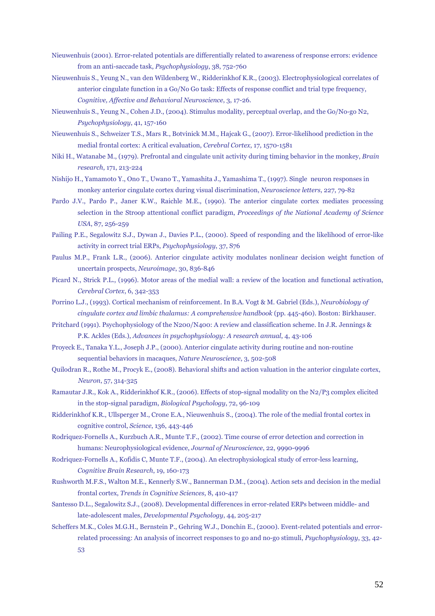- Nieuwenhuis (2001). Error-related potentials are differentially related to awareness of response errors: evidence from an anti-saccade task, *Psychophysiology*, 38, 752-760
- Nieuwenhuis S., Yeung N., van den Wildenberg W., Ridderinkhof K.R., (2003). Electrophysiological correlates of anterior cingulate function in a Go/No Go task: Effects of response conflict and trial type frequency, *Cognitive, Affective and Behavioral Neuroscience*, 3, 17-26*.*
- Nieuwenhuis S., Yeung N., Cohen J.D., (2004). Stimulus modality, perceptual overlap, and the Go/No-go N2, *Psychophysiology*, 41, 157-160
- Nieuwenhuis S., Schweizer T.S., Mars R., Botvinick M.M., Hajcak G., (2007). Error-likelihood prediction in the medial frontal cortex: A critical evaluation, *Cerebral Cortex*, 17, 1570-1581
- Niki H., Watanabe M., (1979). Prefrontal and cingulate unit activity during timing behavior in the monkey, *Brain research*, 171, 213-224
- Nishijo H., Yamamoto Y., Ono T., Uwano T., Yamashita J., Yamashima T., (1997). Single neuron responses in monkey anterior cingulate cortex during visual discrimination, *Neuroscience letters*, 227, 79-82
- Pardo J.V., Pardo P., Janer K.W., Raichle M.E., (1990). The anterior cingulate cortex mediates processing selection in the Stroop attentional conflict paradigm, *Proceedings of the National Academy of Science USA*, 87, 256-259
- Pailing P.E., Segalowitz S.J., Dywan J., Davies P.L., (2000). Speed of responding and the likelihood of error-like activity in correct trial ERPs, *Psychophysiology*, 37, S76
- Paulus M.P., Frank L.R., (2006). Anterior cingulate activity modulates nonlinear decision weight function of uncertain prospects, *Neuroimage*, 30, 836-846
- Picard N., Strick P.L., (1996). Motor areas of the medial wall: a review of the location and functional activation, *Cerebral Cortex*, 6, 342-353
- Porrino L.J., (1993). Cortical mechanism of reinforcement. In B.A. Vogt & M. Gabriel (Eds.), *Neurobiology of cingulate cortex and limbic thalamus: A comprehensive handbook* (pp. 445-460). Boston: Birkhauser.
- Pritchard (1991). Psychophysiology of the N200/N400: A review and classification scheme. In J.R. Jennings & P.K. Ackles (Eds.), *Advances in psychophysiology: A research annual*, 4, 43-106
- Proyeck E., Tanaka Y.L., Joseph J.P., (2000). Anterior cingulate activity during routine and non-routine sequential behaviors in macaques, *Nature Neuroscience*, 3, 502-508
- Quilodran R., Rothe M., Procyk E., (2008). Behavioral shifts and action valuation in the anterior cingulate cortex, *Neuron*, 57, 314-325
- Ramautar J.R., Kok A., Ridderinkhof K.R., (2006). Effects of stop-signal modality on the N2/P3 complex elicited in the stop-signal paradigm, *Biological Psychology*, 72, 96-109
- Ridderinkhof K.R., Ullsperger M., Crone E.A., Nieuwenhuis S., (2004). The role of the medial frontal cortex in cognitive control, *Science*, 136, 443-446
- Rodriquez-Fornells A., Kurzbuch A.R., Munte T.F., (2002). Time course of error detection and correction in humans: Neurophysiological evidence, *Journal of Neuroscience*, 22, 9990-9996
- Rodriquez-Fornells A., Kofidis C, Munte T.F., (2004). An electrophysiological study of error-less learning, *Cognitive Brain Research*, 19, 160-173
- Rushworth M.F.S., Walton M.E., Kennerly S.W., Bannerman D.M., (2004). Action sets and decision in the medial frontal cortex, *Trends in Cognitive Sciences*, 8, 410-417
- Santesso D.L., Segalowitz S.J., (2008). Developmental differences in error-related ERPs between middle- and late-adolescent males, *Developmental Psychology*, 44, 205-217
- Scheffers M.K., Coles M.G.H., Bernstein P., Gehring W.J., Donchin E., (2000). Event-related potentials and errorrelated processing: An analysis of incorrect responses to go and no-go stimuli, *Psychophysiology*, 33, 42- 53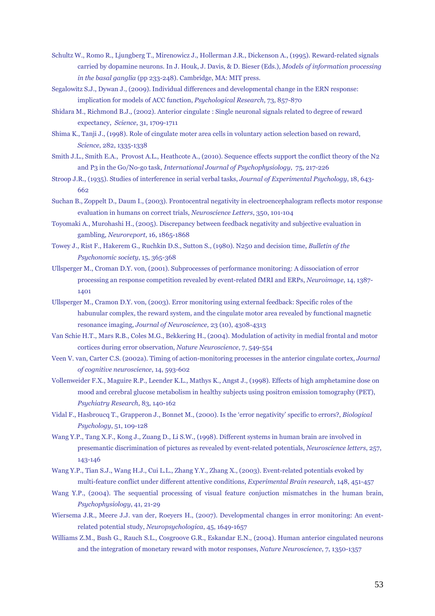- Schultz W., Romo R., Ljungberg T., Mirenowicz J., Hollerman J.R., Dickenson A., (1995). Reward-related signals carried by dopamine neurons. In J. Houk, J. Davis, & D. Bieser (Eds.), *Models of information processing in the basal ganglia* (pp 233-248). Cambridge, MA: MIT press.
- Segalowitz S.J., Dywan J., (2009). Individual differences and developmental change in the ERN response: implication for models of ACC function, *Psychological Research*, 73, 857-870
- Shidara M., Richmond B.J., (2002). Anterior cingulate : Single neuronal signals related to degree of reward expectancy, *Science*, 31, 1709-1711
- Shima K., Tanji J., (1998). Role of cingulate moter area cells in voluntary action selection based on reward, *Science*, 282, 1335-1338
- Smith J.L., Smith E.A., Provost A.L., Heathcote A., (2010). Sequence effects support the conflict theory of the N2 and P3 in the Go/No-go task, *International Journal of Psychophysiology*, 75, 217-226
- Stroop J.R., (1935). Studies of interference in serial verbal tasks, *Journal of Experimental Psychology*, 18, 643- 662
- Suchan B., Zoppelt D., Daum I., (2003). Frontocentral negativity in electroencephalogram reflects motor response evaluation in humans on correct trials, *Neuroscience Letters*, 350, 101-104
- Toyomaki A., Murohashi H., (2005). Discrepancy between feedback negativity and subjective evaluation in gambling, *Neuroreport*, 16, 1865-1868
- Towey J., Rist F., Hakerem G., Ruchkin D.S., Sutton S., (1980). N250 and decision time, *Bulletin of the Psychonomic society*, 15, 365-368
- Ullsperger M., Croman D.Y. von, (2001). Subprocesses of performance monitoring: A dissociation of error processing an response competition revealed by event-related fMRI and ERPs, *Neuroimage*, 14, 1387- 1401
- Ullsperger M., Cramon D.Y. von, (2003). Error monitoring using external feedback: Specific roles of the habunular complex, the reward system, and the cingulate motor area revealed by functional magnetic resonance imaging, *Journal of Neuroscience,* 23 (10), 4308-4313
- Van Schie H.T., Mars R.B., Coles M.G., Bekkering H., (2004). Modulation of activity in medial frontal and motor cortices during error observation, *Nature Neuroscience*, 7, 549-554
- Veen V. van, Carter C.S. (2002a). Timing of action-monitoring processes in the anterior cingulate cortex, *Journal of cognitive neuroscience*, 14, 593-602
- Vollenweider F.X., Maguire R.P., Leender K.L., Mathys K., Angst J., (1998). Effects of high amphetamine dose on mood and cerebral glucose metabolism in healthy subjects using positron emission tomography (PET), *Psychiatry Research*, 83, 140-162
- Vidal F., Hasbroucq T., Grapperon J., Bonnet M., (2000). Is the 'error negativity' specific to errors?, *Biological Psychology*, 51, 109-128
- Wang Y.P., Tang X.F., Kong J., Zuang D., Li S.W., (1998). Different systems in human brain are involved in presemantic discrimination of pictures as revealed by event-related potentials, *Neuroscience letters*, 257, 143-146
- Wang Y.P., Tian S.J., Wang H.J., Cui L.L., Zhang Y.Y., Zhang X., (2003). Event-related potentials evoked by multi-feature conflict under different attentive conditions, *Experimental Brain research*, 148, 451-457
- Wang Y.P., (2004). The sequential processing of visual feature conjuction mismatches in the human brain, *Psychophysiology*, 41, 21-29
- Wiersema J.R., Meere J.J. van der, Roeyers H., (2007). Developmental changes in error monitoring: An eventrelated potential study, *Neuropsychologica*, 45, 1649-1657
- Williams Z.M., Bush G., Rauch S.L., Cosgroove G.R., Eskandar E.N., (2004). Human anterior cingulated neurons and the integration of monetary reward with motor responses, *Nature Neuroscience*, 7, 1350-1357